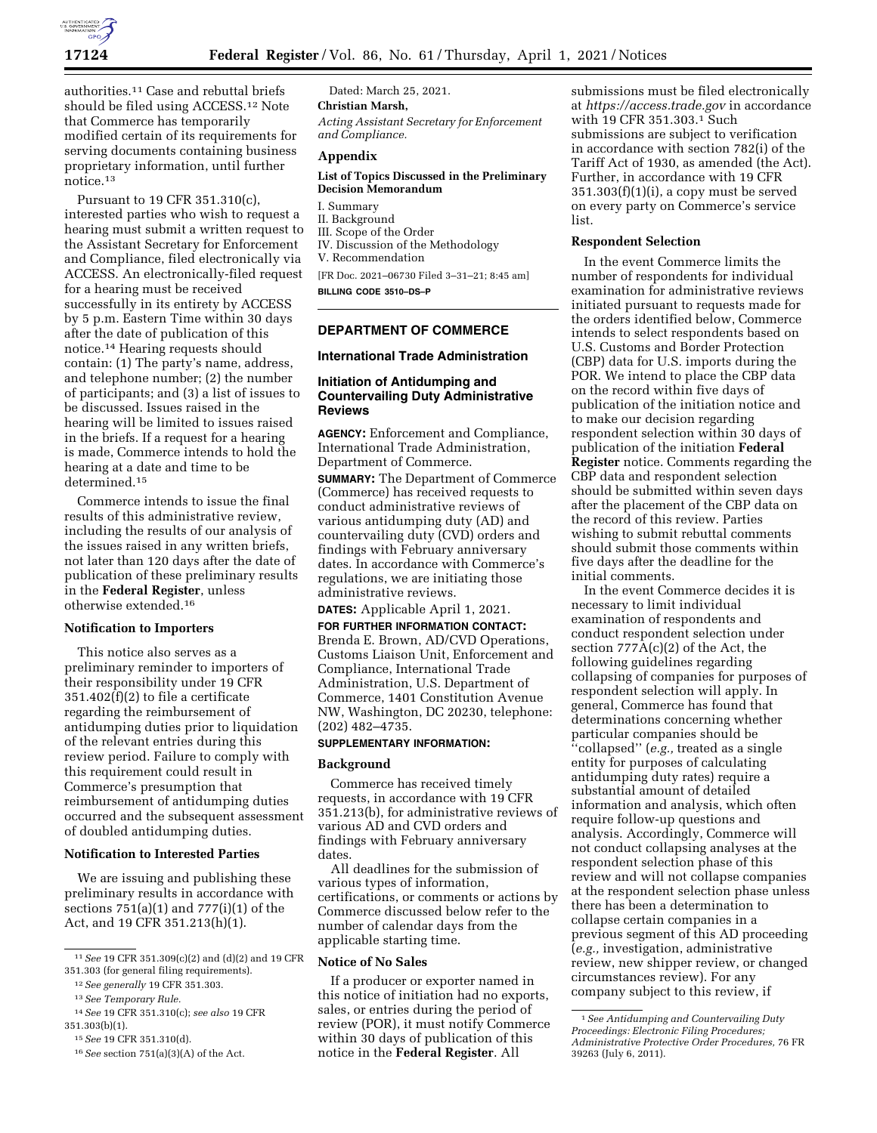

authorities.11 Case and rebuttal briefs should be filed using ACCESS.12 Note that Commerce has temporarily modified certain of its requirements for serving documents containing business proprietary information, until further notice.13

Pursuant to 19 CFR 351.310(c), interested parties who wish to request a hearing must submit a written request to the Assistant Secretary for Enforcement and Compliance, filed electronically via ACCESS. An electronically-filed request for a hearing must be received successfully in its entirety by ACCESS by 5 p.m. Eastern Time within 30 days after the date of publication of this notice.14 Hearing requests should contain: (1) The party's name, address, and telephone number; (2) the number of participants; and (3) a list of issues to be discussed. Issues raised in the hearing will be limited to issues raised in the briefs. If a request for a hearing is made, Commerce intends to hold the hearing at a date and time to be determined.15

Commerce intends to issue the final results of this administrative review, including the results of our analysis of the issues raised in any written briefs, not later than 120 days after the date of publication of these preliminary results in the **Federal Register**, unless otherwise extended.16

### **Notification to Importers**

This notice also serves as a preliminary reminder to importers of their responsibility under 19 CFR 351.402(f)(2) to file a certificate regarding the reimbursement of antidumping duties prior to liquidation of the relevant entries during this review period. Failure to comply with this requirement could result in Commerce's presumption that reimbursement of antidumping duties occurred and the subsequent assessment of doubled antidumping duties.

## **Notification to Interested Parties**

We are issuing and publishing these preliminary results in accordance with sections 751(a)(1) and 777(i)(1) of the Act, and 19 CFR 351.213(h)(1).

Dated: March 25, 2021. **Christian Marsh,**  *Acting Assistant Secretary for Enforcement* 

*and Compliance.* 

# **Appendix**

#### **List of Topics Discussed in the Preliminary Decision Memorandum**

I. Summary II. Background III. Scope of the Order IV. Discussion of the Methodology V. Recommendation [FR Doc. 2021–06730 Filed 3–31–21; 8:45 am]

**BILLING CODE 3510–DS–P** 

### **DEPARTMENT OF COMMERCE**

# **International Trade Administration**

# **Initiation of Antidumping and Countervailing Duty Administrative Reviews**

**AGENCY:** Enforcement and Compliance, International Trade Administration, Department of Commerce.

**SUMMARY:** The Department of Commerce (Commerce) has received requests to conduct administrative reviews of various antidumping duty (AD) and countervailing duty (CVD) orders and findings with February anniversary dates. In accordance with Commerce's regulations, we are initiating those administrative reviews.

### **DATES:** Applicable April 1, 2021.

**FOR FURTHER INFORMATION CONTACT:**  Brenda E. Brown, AD/CVD Operations, Customs Liaison Unit, Enforcement and Compliance, International Trade Administration, U.S. Department of Commerce, 1401 Constitution Avenue NW, Washington, DC 20230, telephone: (202) 482–4735.

### **SUPPLEMENTARY INFORMATION:**

### **Background**

Commerce has received timely requests, in accordance with 19 CFR 351.213(b), for administrative reviews of various AD and CVD orders and findings with February anniversary dates.

All deadlines for the submission of various types of information, certifications, or comments or actions by Commerce discussed below refer to the number of calendar days from the applicable starting time.

#### **Notice of No Sales**

If a producer or exporter named in this notice of initiation had no exports, sales, or entries during the period of review (POR), it must notify Commerce within 30 days of publication of this notice in the **Federal Register**. All

submissions must be filed electronically at *<https://access.trade.gov>*in accordance with 19 CFR 351.303.1 Such submissions are subject to verification in accordance with section 782(i) of the Tariff Act of 1930, as amended (the Act). Further, in accordance with 19 CFR  $351.303(f)(1)(i)$ , a copy must be served on every party on Commerce's service list.

#### **Respondent Selection**

In the event Commerce limits the number of respondents for individual examination for administrative reviews initiated pursuant to requests made for the orders identified below, Commerce intends to select respondents based on U.S. Customs and Border Protection (CBP) data for U.S. imports during the POR. We intend to place the CBP data on the record within five days of publication of the initiation notice and to make our decision regarding respondent selection within 30 days of publication of the initiation **Federal Register** notice. Comments regarding the CBP data and respondent selection should be submitted within seven days after the placement of the CBP data on the record of this review. Parties wishing to submit rebuttal comments should submit those comments within five days after the deadline for the initial comments.

In the event Commerce decides it is necessary to limit individual examination of respondents and conduct respondent selection under section 777A(c)(2) of the Act, the following guidelines regarding collapsing of companies for purposes of respondent selection will apply. In general, Commerce has found that determinations concerning whether particular companies should be ''collapsed'' (*e.g.,* treated as a single entity for purposes of calculating antidumping duty rates) require a substantial amount of detailed information and analysis, which often require follow-up questions and analysis. Accordingly, Commerce will not conduct collapsing analyses at the respondent selection phase of this review and will not collapse companies at the respondent selection phase unless there has been a determination to collapse certain companies in a previous segment of this AD proceeding (*e.g.,* investigation, administrative review, new shipper review, or changed circumstances review). For any company subject to this review, if

<sup>11</sup>*See* 19 CFR 351.309(c)(2) and (d)(2) and 19 CFR 351.303 (for general filing requirements).

<sup>12</sup>*See generally* 19 CFR 351.303.

<sup>13</sup>*See Temporary Rule.* 

<sup>14</sup>*See* 19 CFR 351.310(c); *see also* 19 CFR 351.303(b)(1).

<sup>15</sup>*See* 19 CFR 351.310(d).

<sup>16</sup>*See* section 751(a)(3)(A) of the Act.

<sup>1</sup>*See Antidumping and Countervailing Duty Proceedings: Electronic Filing Procedures; Administrative Protective Order Procedures,* 76 FR 39263 (July 6, 2011).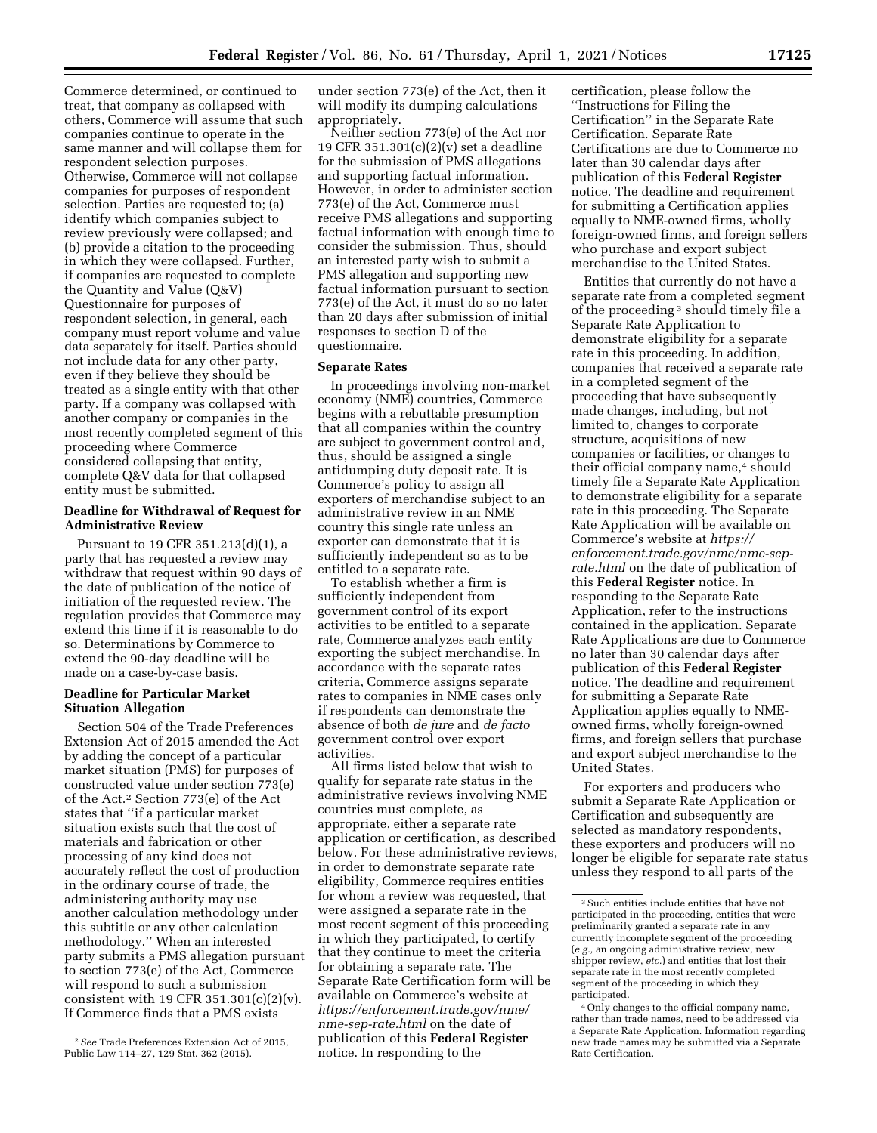Commerce determined, or continued to treat, that company as collapsed with others, Commerce will assume that such companies continue to operate in the same manner and will collapse them for respondent selection purposes. Otherwise, Commerce will not collapse companies for purposes of respondent selection. Parties are requested to; (a) identify which companies subject to review previously were collapsed; and (b) provide a citation to the proceeding in which they were collapsed. Further, if companies are requested to complete the Quantity and Value (Q&V) Questionnaire for purposes of respondent selection, in general, each company must report volume and value data separately for itself. Parties should not include data for any other party, even if they believe they should be treated as a single entity with that other party. If a company was collapsed with another company or companies in the most recently completed segment of this proceeding where Commerce considered collapsing that entity, complete Q&V data for that collapsed entity must be submitted.

# **Deadline for Withdrawal of Request for Administrative Review**

Pursuant to 19 CFR 351.213(d)(1), a party that has requested a review may withdraw that request within 90 days of the date of publication of the notice of initiation of the requested review. The regulation provides that Commerce may extend this time if it is reasonable to do so. Determinations by Commerce to extend the 90-day deadline will be made on a case-by-case basis.

# **Deadline for Particular Market Situation Allegation**

Section 504 of the Trade Preferences Extension Act of 2015 amended the Act by adding the concept of a particular market situation (PMS) for purposes of constructed value under section 773(e) of the Act.2 Section 773(e) of the Act states that ''if a particular market situation exists such that the cost of materials and fabrication or other processing of any kind does not accurately reflect the cost of production in the ordinary course of trade, the administering authority may use another calculation methodology under this subtitle or any other calculation methodology.'' When an interested party submits a PMS allegation pursuant to section 773(e) of the Act, Commerce will respond to such a submission consistent with 19 CFR 351.301 $(c)(2)(v)$ . If Commerce finds that a PMS exists

under section 773(e) of the Act, then it will modify its dumping calculations appropriately.

Neither section 773(e) of the Act nor 19 CFR 351.301(c)(2)(v) set a deadline for the submission of PMS allegations and supporting factual information. However, in order to administer section 773(e) of the Act, Commerce must receive PMS allegations and supporting factual information with enough time to consider the submission. Thus, should an interested party wish to submit a PMS allegation and supporting new factual information pursuant to section 773(e) of the Act, it must do so no later than 20 days after submission of initial responses to section D of the questionnaire.

## **Separate Rates**

In proceedings involving non-market economy (NME) countries, Commerce begins with a rebuttable presumption that all companies within the country are subject to government control and, thus, should be assigned a single antidumping duty deposit rate. It is Commerce's policy to assign all exporters of merchandise subject to an administrative review in an NME country this single rate unless an exporter can demonstrate that it is sufficiently independent so as to be entitled to a separate rate.

To establish whether a firm is sufficiently independent from government control of its export activities to be entitled to a separate rate, Commerce analyzes each entity exporting the subject merchandise. In accordance with the separate rates criteria, Commerce assigns separate rates to companies in NME cases only if respondents can demonstrate the absence of both *de jure* and *de facto*  government control over export activities.

All firms listed below that wish to qualify for separate rate status in the administrative reviews involving NME countries must complete, as appropriate, either a separate rate application or certification, as described below. For these administrative reviews, in order to demonstrate separate rate eligibility, Commerce requires entities for whom a review was requested, that were assigned a separate rate in the most recent segment of this proceeding in which they participated, to certify that they continue to meet the criteria for obtaining a separate rate. The Separate Rate Certification form will be available on Commerce's website at *[https://enforcement.trade.gov/nme/](https://enforcement.trade.gov/nme/nme-sep-rate.html)  [nme-sep-rate.html](https://enforcement.trade.gov/nme/nme-sep-rate.html)* on the date of publication of this **Federal Register**  notice. In responding to the

certification, please follow the ''Instructions for Filing the Certification'' in the Separate Rate Certification. Separate Rate Certifications are due to Commerce no later than 30 calendar days after publication of this **Federal Register**  notice. The deadline and requirement for submitting a Certification applies equally to NME-owned firms, wholly foreign-owned firms, and foreign sellers who purchase and export subject merchandise to the United States.

Entities that currently do not have a separate rate from a completed segment of the proceeding 3 should timely file a Separate Rate Application to demonstrate eligibility for a separate rate in this proceeding. In addition, companies that received a separate rate in a completed segment of the proceeding that have subsequently made changes, including, but not limited to, changes to corporate structure, acquisitions of new companies or facilities, or changes to their official company name,<sup>4</sup> should timely file a Separate Rate Application to demonstrate eligibility for a separate rate in this proceeding. The Separate Rate Application will be available on Commerce's website at *[https://](https://enforcement.trade.gov/nme/nme-sep-rate.html) [enforcement.trade.gov/nme/nme-sep](https://enforcement.trade.gov/nme/nme-sep-rate.html)[rate.html](https://enforcement.trade.gov/nme/nme-sep-rate.html)* on the date of publication of this **Federal Register** notice. In responding to the Separate Rate Application, refer to the instructions contained in the application. Separate Rate Applications are due to Commerce no later than 30 calendar days after publication of this **Federal Register**  notice. The deadline and requirement for submitting a Separate Rate Application applies equally to NMEowned firms, wholly foreign-owned firms, and foreign sellers that purchase and export subject merchandise to the United States.

For exporters and producers who submit a Separate Rate Application or Certification and subsequently are selected as mandatory respondents, these exporters and producers will no longer be eligible for separate rate status unless they respond to all parts of the

<sup>2</sup>*See* Trade Preferences Extension Act of 2015, Public Law 114–27, 129 Stat. 362 (2015).

<sup>3</sup>Such entities include entities that have not participated in the proceeding, entities that were preliminarily granted a separate rate in any currently incomplete segment of the proceeding (*e.g.,* an ongoing administrative review, new shipper review, *etc.*) and entities that lost their separate rate in the most recently completed segment of the proceeding in which they participated.

<sup>4</sup>Only changes to the official company name, rather than trade names, need to be addressed via a Separate Rate Application. Information regarding new trade names may be submitted via a Separate Rate Certification.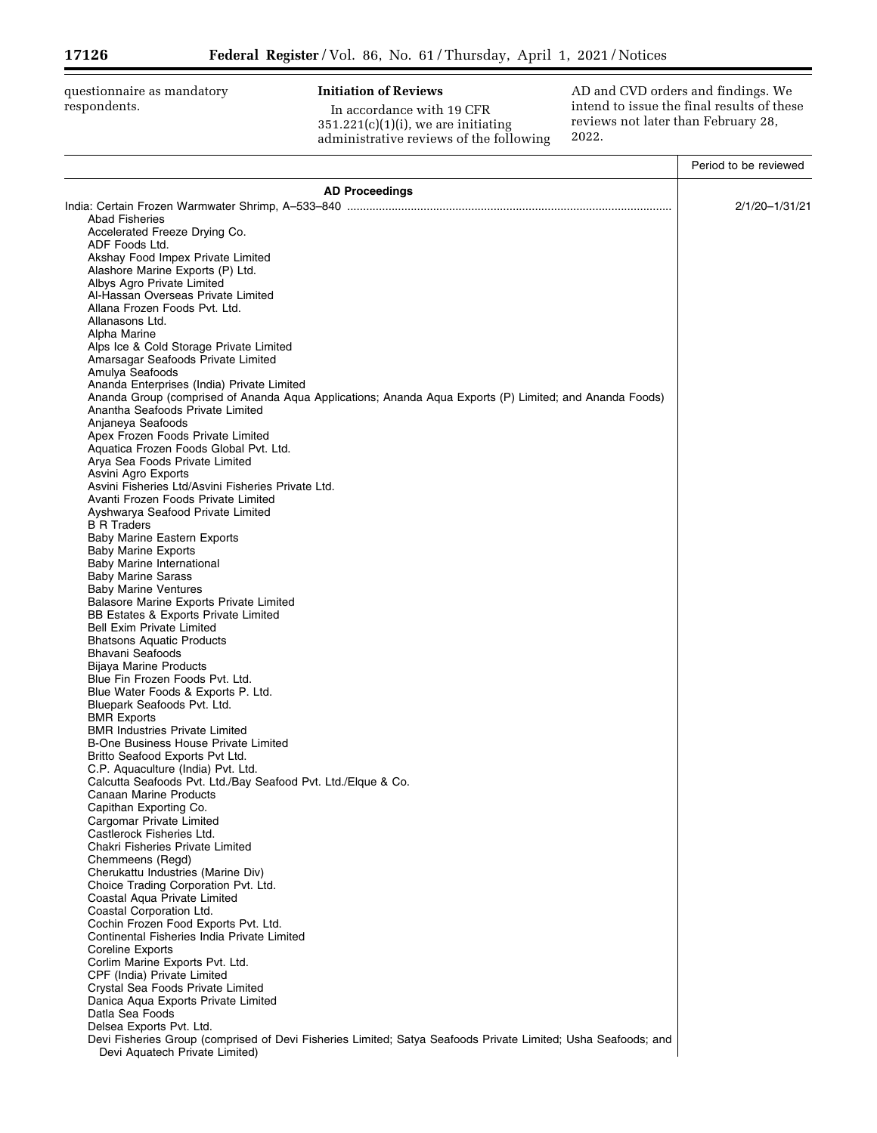questionnaire as mandatory respondents.

# **Initiation of Reviews**

In accordance with 19 CFR 351.221(c)(1)(i), we are initiating administrative reviews of the following AD and CVD orders and findings. We intend to issue the final results of these reviews not later than February 28, 2022.

▀

|                                                                                                               | Period to be reviewed |
|---------------------------------------------------------------------------------------------------------------|-----------------------|
| <b>AD Proceedings</b>                                                                                         |                       |
|                                                                                                               | 2/1/20-1/31/21        |
| <b>Abad Fisheries</b>                                                                                         |                       |
| Accelerated Freeze Drying Co.                                                                                 |                       |
| ADF Foods Ltd.<br>Akshay Food Impex Private Limited                                                           |                       |
| Alashore Marine Exports (P) Ltd.                                                                              |                       |
| Albys Agro Private Limited                                                                                    |                       |
| Al-Hassan Overseas Private Limited                                                                            |                       |
| Allana Frozen Foods Pvt. Ltd.                                                                                 |                       |
| Allanasons Ltd.                                                                                               |                       |
| Alpha Marine                                                                                                  |                       |
| Alps Ice & Cold Storage Private Limited<br>Amarsagar Seafoods Private Limited                                 |                       |
| Amulya Seafoods                                                                                               |                       |
| Ananda Enterprises (India) Private Limited                                                                    |                       |
| Ananda Group (comprised of Ananda Aqua Applications; Ananda Aqua Exports (P) Limited; and Ananda Foods)       |                       |
| Anantha Seafoods Private Limited                                                                              |                       |
| Anjaneya Seafoods                                                                                             |                       |
| Apex Frozen Foods Private Limited<br>Aquatica Frozen Foods Global Pvt. Ltd.                                   |                       |
| Arya Sea Foods Private Limited                                                                                |                       |
| Asvini Agro Exports                                                                                           |                       |
| Asvini Fisheries Ltd/Asvini Fisheries Private Ltd.                                                            |                       |
| Avanti Frozen Foods Private Limited                                                                           |                       |
| Ayshwarya Seafood Private Limited                                                                             |                       |
| <b>B R Traders</b><br><b>Baby Marine Eastern Exports</b>                                                      |                       |
| <b>Baby Marine Exports</b>                                                                                    |                       |
| <b>Baby Marine International</b>                                                                              |                       |
| <b>Baby Marine Sarass</b>                                                                                     |                       |
| <b>Baby Marine Ventures</b>                                                                                   |                       |
| Balasore Marine Exports Private Limited                                                                       |                       |
| BB Estates & Exports Private Limited<br><b>Bell Exim Private Limited</b>                                      |                       |
| <b>Bhatsons Aquatic Products</b>                                                                              |                       |
| <b>Bhavani Seafoods</b>                                                                                       |                       |
| Bijaya Marine Products                                                                                        |                       |
| Blue Fin Frozen Foods Pvt. Ltd.                                                                               |                       |
| Blue Water Foods & Exports P. Ltd.                                                                            |                       |
| Bluepark Seafoods Pvt. Ltd.                                                                                   |                       |
| <b>BMR Exports</b><br><b>BMR Industries Private Limited</b>                                                   |                       |
| B-One Business House Private Limited                                                                          |                       |
| Britto Seafood Exports Pvt Ltd.                                                                               |                       |
| C.P. Aquaculture (India) Pvt. Ltd.                                                                            |                       |
| Calcutta Seafoods Pvt. Ltd./Bay Seafood Pvt. Ltd./Elque & Co.                                                 |                       |
| Canaan Marine Products                                                                                        |                       |
| Capithan Exporting Co.<br>Cargomar Private Limited                                                            |                       |
| Castlerock Fisheries Ltd.                                                                                     |                       |
| Chakri Fisheries Private Limited                                                                              |                       |
| Chemmeens (Regd)                                                                                              |                       |
| Cherukattu Industries (Marine Div)                                                                            |                       |
| Choice Trading Corporation Pvt. Ltd.                                                                          |                       |
| Coastal Aqua Private Limited<br>Coastal Corporation Ltd.                                                      |                       |
| Cochin Frozen Food Exports Pvt. Ltd.                                                                          |                       |
| Continental Fisheries India Private Limited                                                                   |                       |
| <b>Coreline Exports</b>                                                                                       |                       |
| Corlim Marine Exports Pvt. Ltd.                                                                               |                       |
| CPF (India) Private Limited                                                                                   |                       |
| Crystal Sea Foods Private Limited                                                                             |                       |
| Danica Aqua Exports Private Limited<br>Datla Sea Foods                                                        |                       |
| Delsea Exports Pvt. Ltd.                                                                                      |                       |
| Devi Fisheries Group (comprised of Devi Fisheries Limited; Satya Seafoods Private Limited; Usha Seafoods; and |                       |
| Devi Aquatech Private Limited)                                                                                |                       |
|                                                                                                               |                       |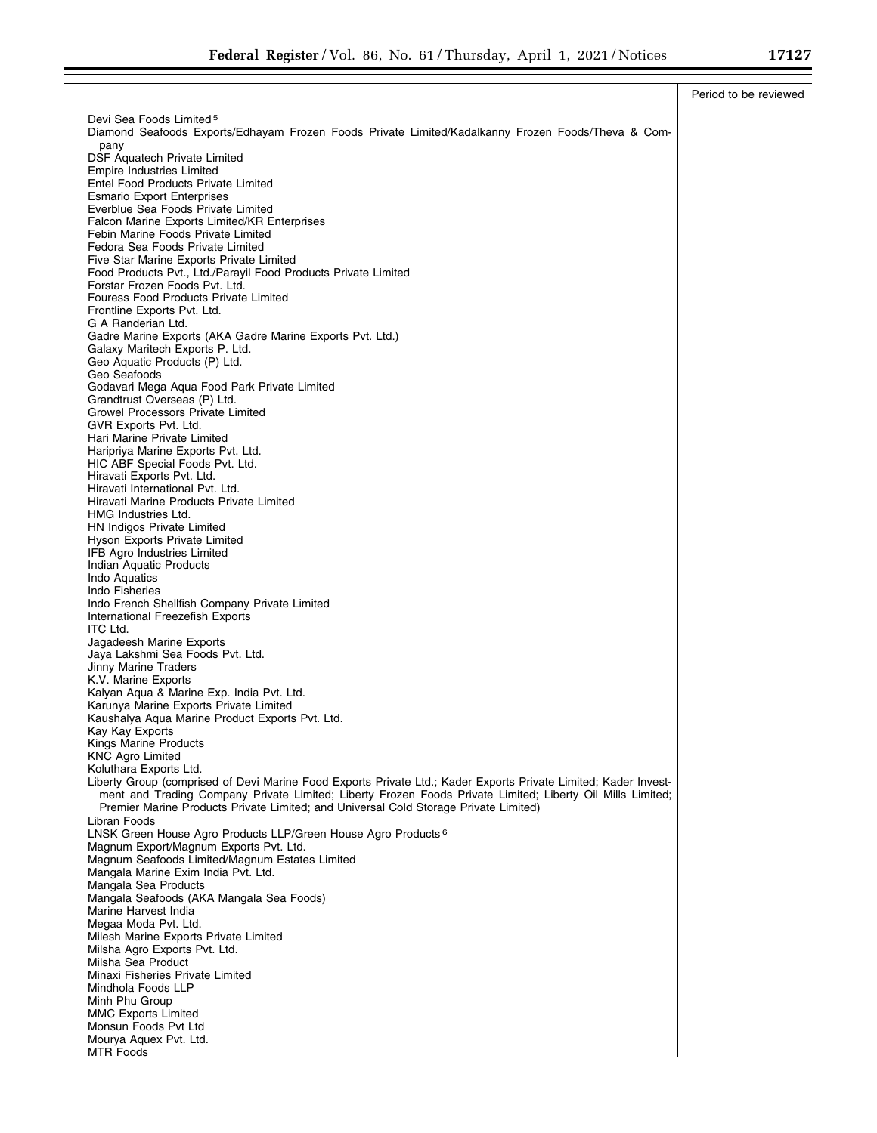|                                                                                                                                                                                                    | Period to be reviewed |
|----------------------------------------------------------------------------------------------------------------------------------------------------------------------------------------------------|-----------------------|
| Devi Sea Foods Limited <sup>5</sup>                                                                                                                                                                |                       |
| Diamond Seafoods Exports/Edhayam Frozen Foods Private Limited/Kadalkanny Frozen Foods/Theva & Com-                                                                                                 |                       |
| pany<br><b>DSF Aquatech Private Limited</b>                                                                                                                                                        |                       |
| Empire Industries Limited                                                                                                                                                                          |                       |
| <b>Entel Food Products Private Limited</b><br><b>Esmario Export Enterprises</b>                                                                                                                    |                       |
| Everblue Sea Foods Private Limited                                                                                                                                                                 |                       |
| Falcon Marine Exports Limited/KR Enterprises                                                                                                                                                       |                       |
| Febin Marine Foods Private Limited                                                                                                                                                                 |                       |
| Fedora Sea Foods Private Limited<br>Five Star Marine Exports Private Limited                                                                                                                       |                       |
| Food Products Pvt., Ltd./Parayil Food Products Private Limited                                                                                                                                     |                       |
| Forstar Frozen Foods Pvt. Ltd.                                                                                                                                                                     |                       |
| Fouress Food Products Private Limited<br>Frontline Exports Pvt. Ltd.                                                                                                                               |                       |
| G A Randerian Ltd.                                                                                                                                                                                 |                       |
| Gadre Marine Exports (AKA Gadre Marine Exports Pvt. Ltd.)                                                                                                                                          |                       |
| Galaxy Maritech Exports P. Ltd.                                                                                                                                                                    |                       |
| Geo Aquatic Products (P) Ltd.<br>Geo Seafoods                                                                                                                                                      |                       |
| Godavari Mega Aqua Food Park Private Limited                                                                                                                                                       |                       |
| Grandtrust Overseas (P) Ltd.                                                                                                                                                                       |                       |
| <b>Growel Processors Private Limited</b><br>GVR Exports Pvt. Ltd.                                                                                                                                  |                       |
| Hari Marine Private Limited                                                                                                                                                                        |                       |
| Haripriya Marine Exports Pvt. Ltd.                                                                                                                                                                 |                       |
| HIC ABF Special Foods Pvt. Ltd.<br>Hiravati Exports Pvt. Ltd.                                                                                                                                      |                       |
| Hiravati International Pvt. Ltd.                                                                                                                                                                   |                       |
| Hiravati Marine Products Private Limited                                                                                                                                                           |                       |
| <b>HMG Industries Ltd.</b><br>HN Indigos Private Limited                                                                                                                                           |                       |
| Hyson Exports Private Limited                                                                                                                                                                      |                       |
| <b>IFB Agro Industries Limited</b>                                                                                                                                                                 |                       |
| <b>Indian Aquatic Products</b>                                                                                                                                                                     |                       |
| Indo Aquatics<br>Indo Fisheries                                                                                                                                                                    |                       |
| Indo French Shellfish Company Private Limited                                                                                                                                                      |                       |
| International Freezefish Exports                                                                                                                                                                   |                       |
| ITC Ltd.<br>Jagadeesh Marine Exports                                                                                                                                                               |                       |
| Jaya Lakshmi Sea Foods Pvt. Ltd.                                                                                                                                                                   |                       |
| <b>Jinny Marine Traders</b>                                                                                                                                                                        |                       |
| K.V. Marine Exports<br>Kalyan Aqua & Marine Exp. India Pvt. Ltd.                                                                                                                                   |                       |
| Karunya Marine Exports Private Limited                                                                                                                                                             |                       |
| Kaushalya Aqua Marine Product Exports Pvt. Ltd.                                                                                                                                                    |                       |
| Kay Kay Exports<br>Kings Marine Products                                                                                                                                                           |                       |
| <b>KNC Agro Limited</b>                                                                                                                                                                            |                       |
| Koluthara Exports Ltd.                                                                                                                                                                             |                       |
| Liberty Group (comprised of Devi Marine Food Exports Private Ltd.; Kader Exports Private Limited; Kader Invest-                                                                                    |                       |
| ment and Trading Company Private Limited; Liberty Frozen Foods Private Limited; Liberty Oil Mills Limited;<br>Premier Marine Products Private Limited; and Universal Cold Storage Private Limited) |                       |
| Libran Foods                                                                                                                                                                                       |                       |
| LNSK Green House Agro Products LLP/Green House Agro Products <sup>6</sup>                                                                                                                          |                       |
| Magnum Export/Magnum Exports Pvt. Ltd.<br>Magnum Seafoods Limited/Magnum Estates Limited                                                                                                           |                       |
| Mangala Marine Exim India Pvt. Ltd.                                                                                                                                                                |                       |
| Mangala Sea Products                                                                                                                                                                               |                       |
| Mangala Seafoods (AKA Mangala Sea Foods)<br>Marine Harvest India                                                                                                                                   |                       |
| Megaa Moda Pvt. Ltd.                                                                                                                                                                               |                       |
| Milesh Marine Exports Private Limited                                                                                                                                                              |                       |
| Milsha Agro Exports Pvt. Ltd.                                                                                                                                                                      |                       |
| Milsha Sea Product<br>Minaxi Fisheries Private Limited                                                                                                                                             |                       |
| Mindhola Foods LLP                                                                                                                                                                                 |                       |
| Minh Phu Group                                                                                                                                                                                     |                       |
| <b>MMC Exports Limited</b>                                                                                                                                                                         |                       |
| Monsun Foods Pvt Ltd<br>Mourya Aquex Pvt. Ltd.                                                                                                                                                     |                       |
| <b>MTR Foods</b>                                                                                                                                                                                   |                       |
|                                                                                                                                                                                                    |                       |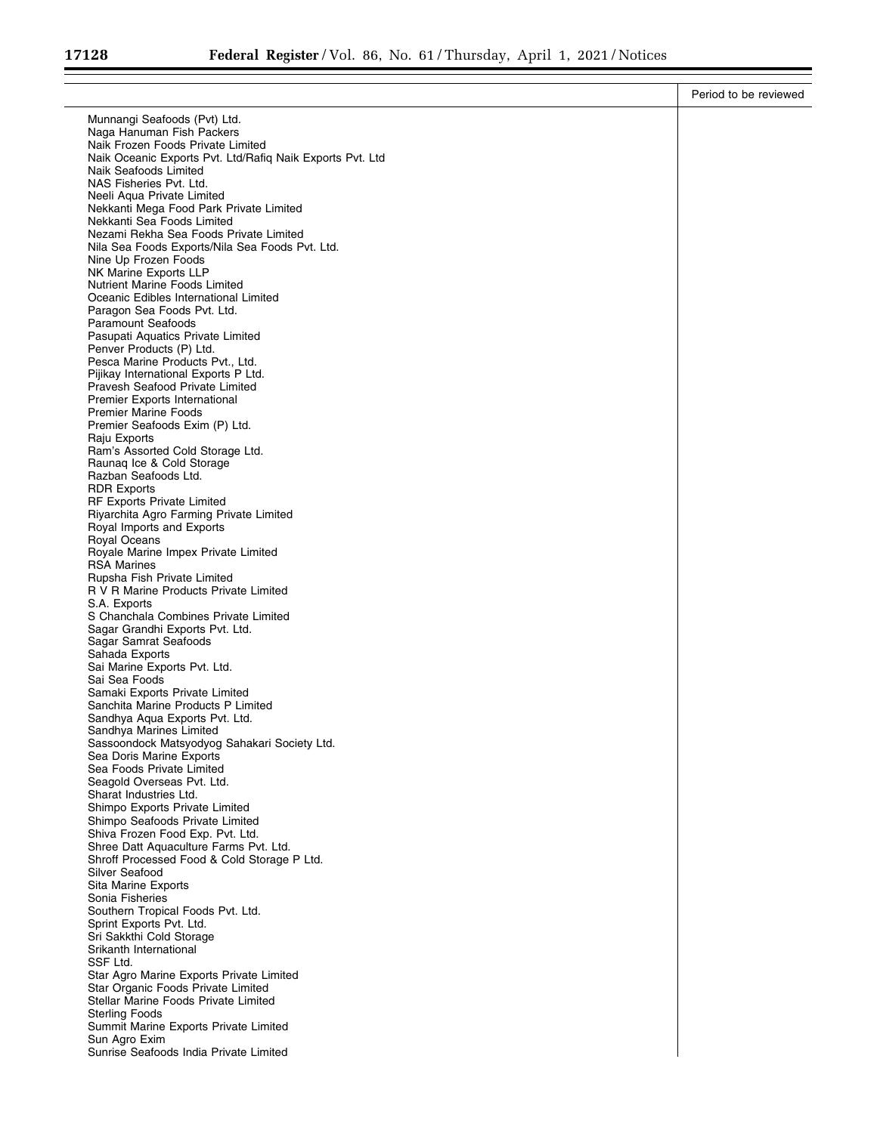|                                                                                                | Period to be reviewed |
|------------------------------------------------------------------------------------------------|-----------------------|
| Munnangi Seafoods (Pvt) Ltd.                                                                   |                       |
| Naga Hanuman Fish Packers                                                                      |                       |
| Naik Frozen Foods Private Limited<br>Naik Oceanic Exports Pvt. Ltd/Rafiq Naik Exports Pvt. Ltd |                       |
| Naik Seafoods Limited                                                                          |                       |
| NAS Fisheries Pvt. Ltd.                                                                        |                       |
| Neeli Aqua Private Limited<br>Nekkanti Mega Food Park Private Limited                          |                       |
| Nekkanti Sea Foods Limited                                                                     |                       |
| Nezami Rekha Sea Foods Private Limited                                                         |                       |
| Nila Sea Foods Exports/Nila Sea Foods Pvt. Ltd.<br>Nine Up Frozen Foods                        |                       |
| NK Marine Exports LLP                                                                          |                       |
| Nutrient Marine Foods Limited                                                                  |                       |
| Oceanic Edibles International Limited<br>Paragon Sea Foods Pvt. Ltd.                           |                       |
| <b>Paramount Seafoods</b>                                                                      |                       |
| Pasupati Aquatics Private Limited                                                              |                       |
| Penver Products (P) Ltd.<br>Pesca Marine Products Pvt., Ltd.                                   |                       |
| Pijikay International Exports P Ltd.                                                           |                       |
| Pravesh Seafood Private Limited                                                                |                       |
| <b>Premier Exports International</b><br><b>Premier Marine Foods</b>                            |                       |
| Premier Seafoods Exim (P) Ltd.                                                                 |                       |
| Raju Exports                                                                                   |                       |
| Ram's Assorted Cold Storage Ltd.<br>Raunaq Ice & Cold Storage                                  |                       |
| Razban Seafoods Ltd.                                                                           |                       |
| <b>RDR Exports</b><br>RF Exports Private Limited                                               |                       |
| Riyarchita Agro Farming Private Limited                                                        |                       |
| Royal Imports and Exports                                                                      |                       |
| <b>Royal Oceans</b><br>Royale Marine Impex Private Limited                                     |                       |
| <b>RSA Marines</b>                                                                             |                       |
| Rupsha Fish Private Limited                                                                    |                       |
| R V R Marine Products Private Limited<br>S.A. Exports                                          |                       |
| S Chanchala Combines Private Limited                                                           |                       |
| Sagar Grandhi Exports Pvt. Ltd.                                                                |                       |
| Sagar Samrat Seafoods<br>Sahada Exports                                                        |                       |
| Sai Marine Exports Pvt. Ltd.                                                                   |                       |
| Sai Sea Foods<br>Samaki Exports Private Limited                                                |                       |
| Sanchita Marine Products P Limited                                                             |                       |
| Sandhya Aqua Exports Pvt. Ltd.                                                                 |                       |
| Sandhya Marines Limited<br>Sassoondock Matsyodyog Sahakari Society Ltd.                        |                       |
| Sea Doris Marine Exports                                                                       |                       |
| Sea Foods Private Limited                                                                      |                       |
| Seagold Overseas Pvt. Ltd.<br>Sharat Industries Ltd.                                           |                       |
| Shimpo Exports Private Limited                                                                 |                       |
| Shimpo Seafoods Private Limited                                                                |                       |
| Shiva Frozen Food Exp. Pvt. Ltd.<br>Shree Datt Aquaculture Farms Pvt. Ltd.                     |                       |
| Shroff Processed Food & Cold Storage P Ltd.                                                    |                       |
| Silver Seafood                                                                                 |                       |
| Sita Marine Exports<br>Sonia Fisheries                                                         |                       |
| Southern Tropical Foods Pvt. Ltd.                                                              |                       |
| Sprint Exports Pvt. Ltd.                                                                       |                       |
| Sri Sakkthi Cold Storage<br>Srikanth International                                             |                       |
| SSF Ltd.                                                                                       |                       |
| Star Agro Marine Exports Private Limited<br>Star Organic Foods Private Limited                 |                       |
| Stellar Marine Foods Private Limited                                                           |                       |
| <b>Sterling Foods</b>                                                                          |                       |
| Summit Marine Exports Private Limited<br>Sun Agro Exim                                         |                       |
| Sunrise Seafoods India Private Limited                                                         |                       |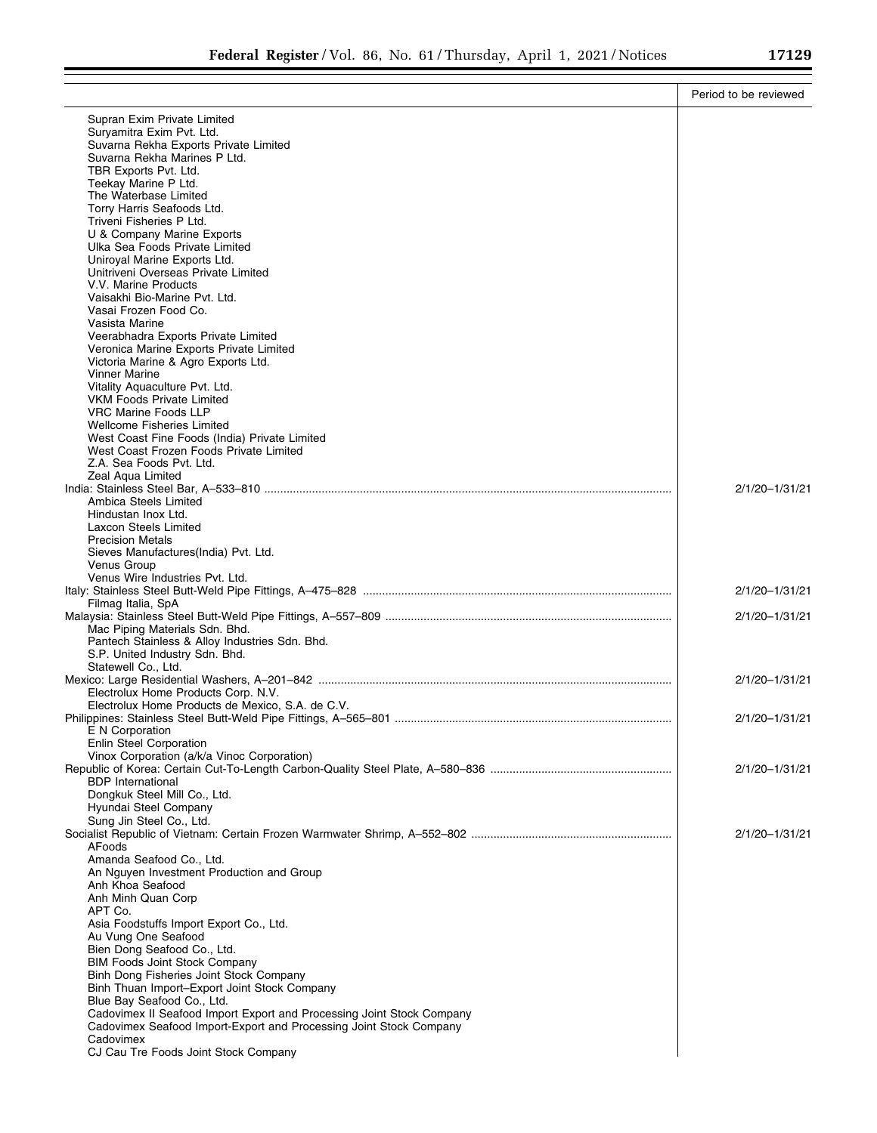|                                                                                 | Period to be reviewed |
|---------------------------------------------------------------------------------|-----------------------|
| Supran Exim Private Limited                                                     |                       |
| Suryamitra Exim Pvt. Ltd.                                                       |                       |
| Suvarna Rekha Exports Private Limited                                           |                       |
| Suvarna Rekha Marines P Ltd.                                                    |                       |
| TBR Exports Pvt. Ltd.<br>Teekay Marine P Ltd.                                   |                       |
| The Waterbase Limited                                                           |                       |
| Torry Harris Seafoods Ltd.                                                      |                       |
| Triveni Fisheries P Ltd.                                                        |                       |
| U & Company Marine Exports<br>Ulka Sea Foods Private Limited                    |                       |
| Uniroyal Marine Exports Ltd.                                                    |                       |
| Unitriveni Overseas Private Limited                                             |                       |
| V.V. Marine Products                                                            |                       |
| Vaisakhi Bio-Marine Pvt. Ltd.                                                   |                       |
| Vasai Frozen Food Co.<br>Vasista Marine                                         |                       |
| Veerabhadra Exports Private Limited                                             |                       |
| Veronica Marine Exports Private Limited                                         |                       |
| Victoria Marine & Agro Exports Ltd.                                             |                       |
| <b>Vinner Marine</b>                                                            |                       |
| Vitality Aquaculture Pvt. Ltd.<br><b>VKM Foods Private Limited</b>              |                       |
| <b>VRC Marine Foods LLP</b>                                                     |                       |
| <b>Wellcome Fisheries Limited</b>                                               |                       |
| West Coast Fine Foods (India) Private Limited                                   |                       |
| West Coast Frozen Foods Private Limited<br>Z.A. Sea Foods Pvt. Ltd.             |                       |
| Zeal Aqua Limited                                                               |                       |
|                                                                                 | 2/1/20-1/31/21        |
| Ambica Steels Limited                                                           |                       |
| Hindustan Inox Ltd.                                                             |                       |
| Laxcon Steels Limited<br><b>Precision Metals</b>                                |                       |
| Sieves Manufactures(India) Pvt. Ltd.                                            |                       |
| Venus Group                                                                     |                       |
| Venus Wire Industries Pvt. Ltd.                                                 |                       |
|                                                                                 | 2/1/20-1/31/21        |
| Filmag Italia, SpA                                                              | 2/1/20-1/31/21        |
| Mac Piping Materials Sdn. Bhd.                                                  |                       |
| Pantech Stainless & Alloy Industries Sdn. Bhd.                                  |                       |
| S.P. United Industry Sdn. Bhd.<br>Statewell Co., Ltd.                           |                       |
|                                                                                 | 2/1/20-1/31/21        |
| Electrolux Home Products Corp. N.V.                                             |                       |
| Electrolux Home Products de Mexico, S.A. de C.V.                                |                       |
|                                                                                 | 2/1/20-1/31/21        |
| E N Corporation<br><b>Enlin Steel Corporation</b>                               |                       |
| Vinox Corporation (a/k/a Vinoc Corporation)                                     |                       |
|                                                                                 | 2/1/20-1/31/21        |
| <b>BDP</b> International                                                        |                       |
| Dongkuk Steel Mill Co., Ltd.                                                    |                       |
| Hyundai Steel Company<br>Sung Jin Steel Co., Ltd.                               |                       |
|                                                                                 | 2/1/20-1/31/21        |
| AFoods                                                                          |                       |
| Amanda Seafood Co., Ltd.                                                        |                       |
| An Nguyen Investment Production and Group<br>Anh Khoa Seafood                   |                       |
| Anh Minh Quan Corp                                                              |                       |
| APT Co.                                                                         |                       |
| Asia Foodstuffs Import Export Co., Ltd.                                         |                       |
| Au Vung One Seafood                                                             |                       |
| Bien Dong Seafood Co., Ltd.<br><b>BIM Foods Joint Stock Company</b>             |                       |
| Binh Dong Fisheries Joint Stock Company                                         |                       |
| Binh Thuan Import-Export Joint Stock Company                                    |                       |
| Blue Bay Seafood Co., Ltd.                                                      |                       |
| Cadovimex II Seafood Import Export and Processing Joint Stock Company           |                       |
| Cadovimex Seafood Import-Export and Processing Joint Stock Company<br>Cadovimex |                       |
| CJ Cau Tre Foods Joint Stock Company                                            |                       |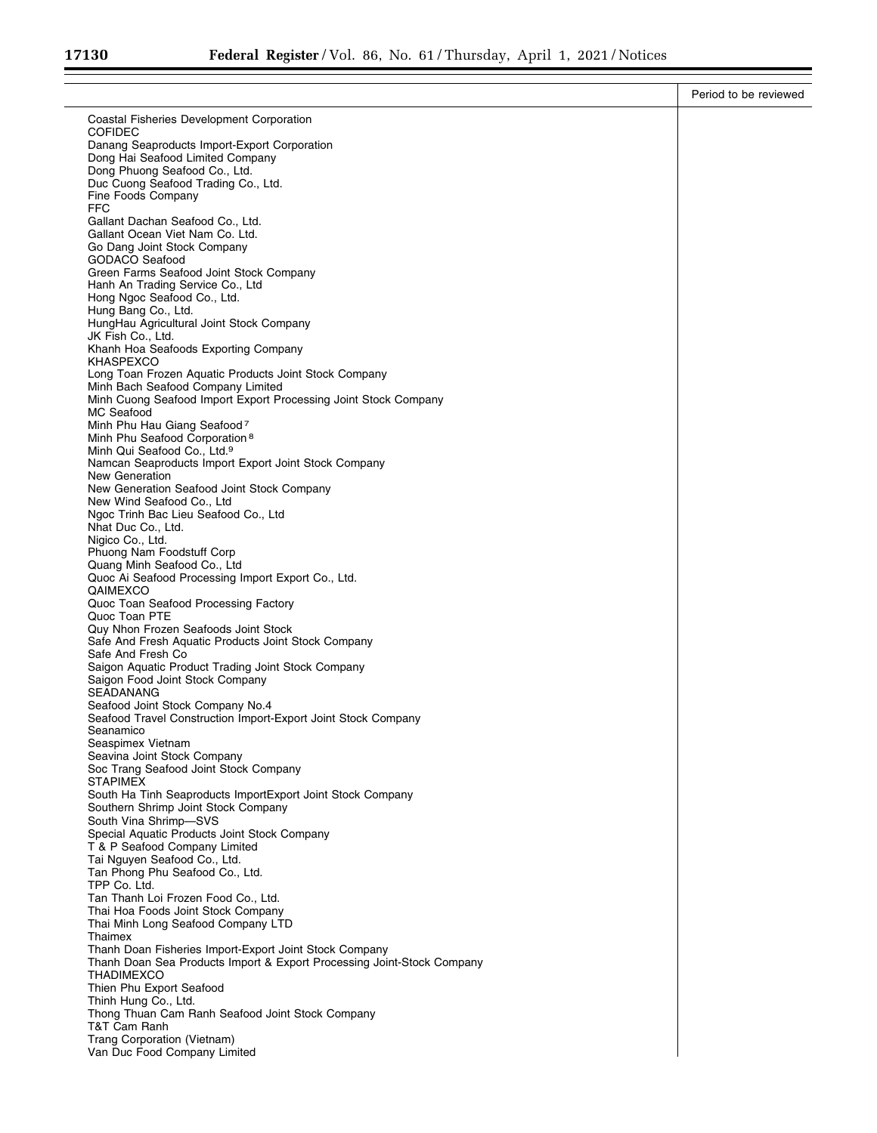|                                                                                                                                  | Period to be reviewed |
|----------------------------------------------------------------------------------------------------------------------------------|-----------------------|
| Coastal Fisheries Development Corporation                                                                                        |                       |
| <b>COFIDEC</b>                                                                                                                   |                       |
| Danang Seaproducts Import-Export Corporation<br>Dong Hai Seafood Limited Company                                                 |                       |
| Dong Phuong Seafood Co., Ltd.                                                                                                    |                       |
| Duc Cuong Seafood Trading Co., Ltd.<br>Fine Foods Company                                                                        |                       |
| FFC                                                                                                                              |                       |
| Gallant Dachan Seafood Co., Ltd.                                                                                                 |                       |
| Gallant Ocean Viet Nam Co. Ltd.<br>Go Dang Joint Stock Company                                                                   |                       |
| <b>GODACO Seafood</b>                                                                                                            |                       |
| Green Farms Seafood Joint Stock Company                                                                                          |                       |
| Hanh An Trading Service Co., Ltd<br>Hong Ngoc Seafood Co., Ltd.                                                                  |                       |
| Hung Bang Co., Ltd.                                                                                                              |                       |
| HungHau Agricultural Joint Stock Company<br>JK Fish Co., Ltd.                                                                    |                       |
| Khanh Hoa Seafoods Exporting Company                                                                                             |                       |
| KHASPEXCO<br>Long Toan Frozen Aquatic Products Joint Stock Company                                                               |                       |
| Minh Bach Seafood Company Limited                                                                                                |                       |
| Minh Cuong Seafood Import Export Processing Joint Stock Company                                                                  |                       |
| MC Seafood<br>Minh Phu Hau Giang Seafood 7                                                                                       |                       |
| Minh Phu Seafood Corporation <sup>8</sup>                                                                                        |                       |
| Minh Qui Seafood Co., Ltd. <sup>9</sup><br>Namcan Seaproducts Import Export Joint Stock Company                                  |                       |
| New Generation                                                                                                                   |                       |
| New Generation Seafood Joint Stock Company                                                                                       |                       |
| New Wind Seafood Co., Ltd<br>Ngoc Trinh Bac Lieu Seafood Co., Ltd                                                                |                       |
| Nhat Duc Co., Ltd.                                                                                                               |                       |
| Nigico Co., Ltd.<br>Phuong Nam Foodstuff Corp                                                                                    |                       |
| Quang Minh Seafood Co., Ltd                                                                                                      |                       |
| Quoc Ai Seafood Processing Import Export Co., Ltd.                                                                               |                       |
| QAIMEXCO<br>Quoc Toan Seafood Processing Factory                                                                                 |                       |
| Quoc Toan PTE                                                                                                                    |                       |
| Quy Nhon Frozen Seafoods Joint Stock<br>Safe And Fresh Aquatic Products Joint Stock Company                                      |                       |
| Safe And Fresh Co                                                                                                                |                       |
| Saigon Aquatic Product Trading Joint Stock Company                                                                               |                       |
| Saigon Food Joint Stock Company<br>SEADANANG                                                                                     |                       |
| Seafood Joint Stock Company No.4                                                                                                 |                       |
| Seafood Travel Construction Import-Export Joint Stock Company<br>Seanamico                                                       |                       |
| Seaspimex Vietnam                                                                                                                |                       |
| Seavina Joint Stock Company                                                                                                      |                       |
| Soc Trang Seafood Joint Stock Company<br><b>STAPIMEX</b>                                                                         |                       |
| South Ha Tinh Seaproducts ImportExport Joint Stock Company                                                                       |                       |
| Southern Shrimp Joint Stock Company<br>South Vina Shrimp-SVS                                                                     |                       |
| Special Aquatic Products Joint Stock Company                                                                                     |                       |
| T & P Seafood Company Limited                                                                                                    |                       |
| Tai Nguyen Seafood Co., Ltd.<br>Tan Phong Phu Seafood Co., Ltd.                                                                  |                       |
| TPP Co. Ltd.                                                                                                                     |                       |
| Tan Thanh Loi Frozen Food Co., Ltd.<br>Thai Hoa Foods Joint Stock Company                                                        |                       |
| Thai Minh Long Seafood Company LTD                                                                                               |                       |
| Thaimex                                                                                                                          |                       |
| Thanh Doan Fisheries Import-Export Joint Stock Company<br>Thanh Doan Sea Products Import & Export Processing Joint-Stock Company |                       |
| <b>THADIMEXCO</b>                                                                                                                |                       |
| Thien Phu Export Seafood<br>Thinh Hung Co., Ltd.                                                                                 |                       |
| Thong Thuan Cam Ranh Seafood Joint Stock Company                                                                                 |                       |
| T&T Cam Ranh                                                                                                                     |                       |
| Trang Corporation (Vietnam)<br>Van Duc Food Company Limited                                                                      |                       |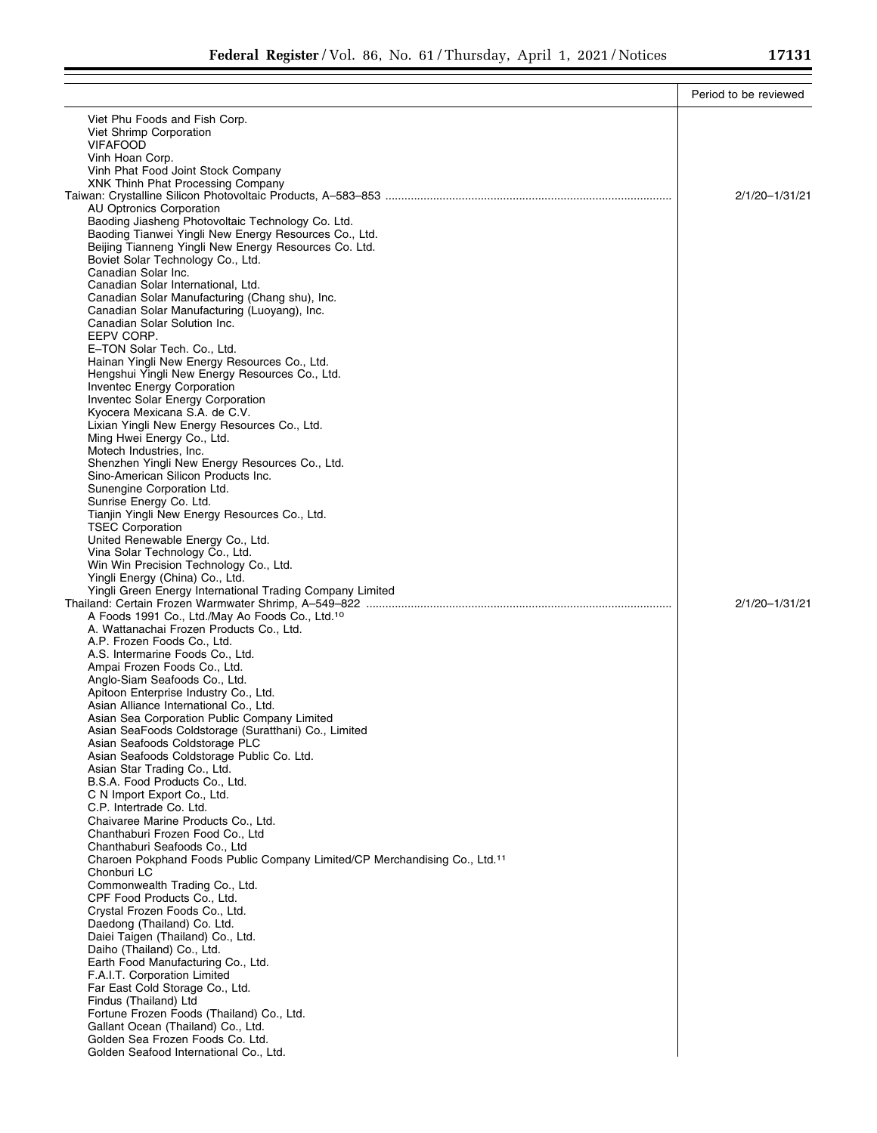|                                                                                           | Period to be reviewed |
|-------------------------------------------------------------------------------------------|-----------------------|
| Viet Phu Foods and Fish Corp.                                                             |                       |
| Viet Shrimp Corporation                                                                   |                       |
| <b>VIFAFOOD</b>                                                                           |                       |
| Vinh Hoan Corp.                                                                           |                       |
| Vinh Phat Food Joint Stock Company                                                        |                       |
| XNK Thinh Phat Processing Company                                                         | 2/1/20-1/31/21        |
| <b>AU Optronics Corporation</b>                                                           |                       |
| Baoding Jiasheng Photovoltaic Technology Co. Ltd.                                         |                       |
| Baoding Tianwei Yingli New Energy Resources Co., Ltd.                                     |                       |
| Beijing Tianneng Yingli New Energy Resources Co. Ltd.                                     |                       |
| Boviet Solar Technology Co., Ltd.<br>Canadian Solar Inc.                                  |                       |
| Canadian Solar International, Ltd.                                                        |                       |
| Canadian Solar Manufacturing (Chang shu), Inc.                                            |                       |
| Canadian Solar Manufacturing (Luoyang), Inc.                                              |                       |
| Canadian Solar Solution Inc.                                                              |                       |
| EEPV CORP.<br>E-TON Solar Tech. Co., Ltd.                                                 |                       |
| Hainan Yingli New Energy Resources Co., Ltd.                                              |                       |
| Hengshui Yingli New Energy Resources Co., Ltd.                                            |                       |
| Inventec Energy Corporation                                                               |                       |
| Inventec Solar Energy Corporation                                                         |                       |
| Kyocera Mexicana S.A. de C.V.<br>Lixian Yingli New Energy Resources Co., Ltd.             |                       |
| Ming Hwei Energy Co., Ltd.                                                                |                       |
| Motech Industries, Inc.                                                                   |                       |
| Shenzhen Yingli New Energy Resources Co., Ltd.                                            |                       |
| Sino-American Silicon Products Inc.                                                       |                       |
| Sunengine Corporation Ltd.<br>Sunrise Energy Co. Ltd.                                     |                       |
| Tianjin Yingli New Energy Resources Co., Ltd.                                             |                       |
| <b>TSEC Corporation</b>                                                                   |                       |
| United Renewable Energy Co., Ltd.                                                         |                       |
| Vina Solar Technology Co., Ltd.                                                           |                       |
| Win Win Precision Technology Co., Ltd.<br>Yingli Energy (China) Co., Ltd.                 |                       |
| Yingli Green Energy International Trading Company Limited                                 |                       |
|                                                                                           | 2/1/20-1/31/21        |
| A Foods 1991 Co., Ltd./May Ao Foods Co., Ltd. <sup>10</sup>                               |                       |
| A. Wattanachai Frozen Products Co., Ltd.<br>A.P. Frozen Foods Co., Ltd.                   |                       |
| A.S. Intermarine Foods Co., Ltd.                                                          |                       |
| Ampai Frozen Foods Co., Ltd.                                                              |                       |
| Anglo-Siam Seafoods Co., Ltd.                                                             |                       |
| Apitoon Enterprise Industry Co., Ltd.                                                     |                       |
| Asian Alliance International Co., Ltd.<br>Asian Sea Corporation Public Company Limited    |                       |
| Asian SeaFoods Coldstorage (Suratthani) Co., Limited                                      |                       |
| Asian Seafoods Coldstorage PLC                                                            |                       |
| Asian Seafoods Coldstorage Public Co. Ltd.                                                |                       |
| Asian Star Trading Co., Ltd.                                                              |                       |
| B.S.A. Food Products Co., Ltd.<br>C N Import Export Co., Ltd.                             |                       |
| C.P. Intertrade Co. Ltd.                                                                  |                       |
| Chaivaree Marine Products Co., Ltd.                                                       |                       |
| Chanthaburi Frozen Food Co., Ltd                                                          |                       |
| Chanthaburi Seafoods Co., Ltd                                                             |                       |
| Charoen Pokphand Foods Public Company Limited/CP Merchandising Co., Ltd.11<br>Chonburi LC |                       |
| Commonwealth Trading Co., Ltd.                                                            |                       |
| CPF Food Products Co., Ltd.                                                               |                       |
| Crystal Frozen Foods Co., Ltd.                                                            |                       |
| Daedong (Thailand) Co. Ltd.                                                               |                       |
| Daiei Taigen (Thailand) Co., Ltd.<br>Daiho (Thailand) Co., Ltd.                           |                       |
| Earth Food Manufacturing Co., Ltd.                                                        |                       |
| F.A.I.T. Corporation Limited                                                              |                       |
| Far East Cold Storage Co., Ltd.                                                           |                       |
| Findus (Thailand) Ltd                                                                     |                       |
| Fortune Frozen Foods (Thailand) Co., Ltd.<br>Gallant Ocean (Thailand) Co., Ltd.           |                       |
| Golden Sea Frozen Foods Co. Ltd.                                                          |                       |
| Golden Seafood International Co., Ltd.                                                    |                       |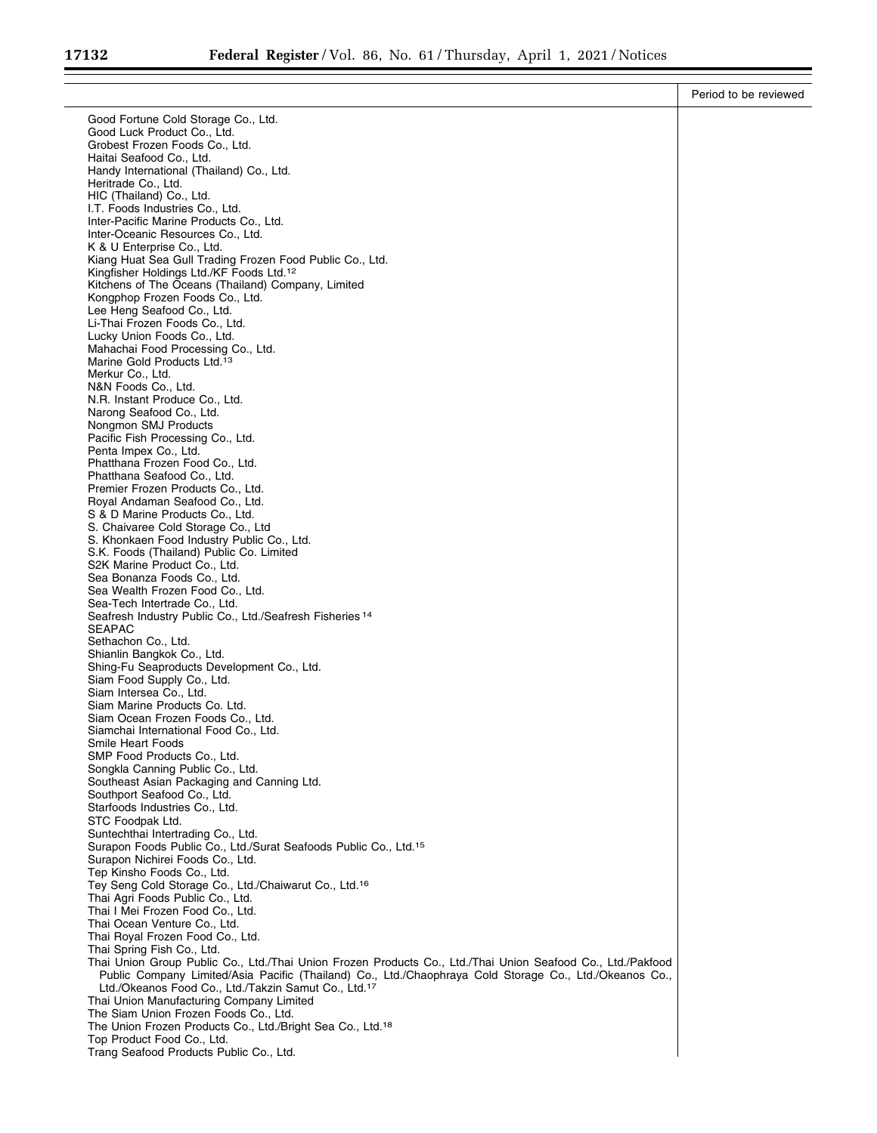|                                                                                                                                                                                                                        | Period to be reviewed |
|------------------------------------------------------------------------------------------------------------------------------------------------------------------------------------------------------------------------|-----------------------|
| Good Fortune Cold Storage Co., Ltd.                                                                                                                                                                                    |                       |
| Good Luck Product Co., Ltd.                                                                                                                                                                                            |                       |
| Grobest Frozen Foods Co., Ltd.<br>Haitai Seafood Co., Ltd.                                                                                                                                                             |                       |
| Handy International (Thailand) Co., Ltd.                                                                                                                                                                               |                       |
| Heritrade Co., Ltd.                                                                                                                                                                                                    |                       |
| HIC (Thailand) Co., Ltd.<br>I.T. Foods Industries Co., Ltd.                                                                                                                                                            |                       |
| Inter-Pacific Marine Products Co., Ltd.                                                                                                                                                                                |                       |
| Inter-Oceanic Resources Co., Ltd.                                                                                                                                                                                      |                       |
| K & U Enterprise Co., Ltd.                                                                                                                                                                                             |                       |
| Kiang Huat Sea Gull Trading Frozen Food Public Co., Ltd.<br>Kingfisher Holdings Ltd./KF Foods Ltd. <sup>12</sup>                                                                                                       |                       |
| Kitchens of The Oceans (Thailand) Company, Limited                                                                                                                                                                     |                       |
| Kongphop Frozen Foods Co., Ltd.                                                                                                                                                                                        |                       |
| Lee Heng Seafood Co., Ltd.<br>Li-Thai Frozen Foods Co., Ltd.                                                                                                                                                           |                       |
| Lucky Union Foods Co., Ltd.                                                                                                                                                                                            |                       |
| Mahachai Food Processing Co., Ltd.                                                                                                                                                                                     |                       |
| Marine Gold Products Ltd. <sup>13</sup><br>Merkur Co., Ltd.                                                                                                                                                            |                       |
| N&N Foods Co., Ltd.                                                                                                                                                                                                    |                       |
| N.R. Instant Produce Co., Ltd.                                                                                                                                                                                         |                       |
| Narong Seafood Co., Ltd.<br>Nongmon SMJ Products                                                                                                                                                                       |                       |
| Pacific Fish Processing Co., Ltd.                                                                                                                                                                                      |                       |
| Penta Impex Co., Ltd.                                                                                                                                                                                                  |                       |
| Phatthana Frozen Food Co., Ltd.<br>Phatthana Seafood Co., Ltd.                                                                                                                                                         |                       |
| Premier Frozen Products Co., Ltd.                                                                                                                                                                                      |                       |
| Royal Andaman Seafood Co., Ltd.                                                                                                                                                                                        |                       |
| S & D Marine Products Co., Ltd.                                                                                                                                                                                        |                       |
| S. Chaivaree Cold Storage Co., Ltd.<br>S. Khonkaen Food Industry Public Co., Ltd.                                                                                                                                      |                       |
| S.K. Foods (Thailand) Public Co. Limited                                                                                                                                                                               |                       |
| S2K Marine Product Co., Ltd.                                                                                                                                                                                           |                       |
| Sea Bonanza Foods Co., Ltd.<br>Sea Wealth Frozen Food Co., Ltd.                                                                                                                                                        |                       |
| Sea-Tech Intertrade Co., Ltd.                                                                                                                                                                                          |                       |
| Seafresh Industry Public Co., Ltd./Seafresh Fisheries 14                                                                                                                                                               |                       |
| <b>SEAPAC</b><br>Sethachon Co., Ltd.                                                                                                                                                                                   |                       |
| Shianlin Bangkok Co., Ltd.                                                                                                                                                                                             |                       |
| Shing-Fu Seaproducts Development Co., Ltd.                                                                                                                                                                             |                       |
| Siam Food Supply Co., Ltd.<br>Siam Intersea Co., Ltd.                                                                                                                                                                  |                       |
| Siam Marine Products Co. Ltd.                                                                                                                                                                                          |                       |
| Siam Ocean Frozen Foods Co., Ltd.                                                                                                                                                                                      |                       |
| Siamchai International Food Co., Ltd.                                                                                                                                                                                  |                       |
| Smile Heart Foods<br>SMP Food Products Co., Ltd.                                                                                                                                                                       |                       |
| Songkla Canning Public Co., Ltd.                                                                                                                                                                                       |                       |
| Southeast Asian Packaging and Canning Ltd.                                                                                                                                                                             |                       |
| Southport Seafood Co., Ltd.<br>Starfoods Industries Co., Ltd.                                                                                                                                                          |                       |
| STC Foodpak Ltd.                                                                                                                                                                                                       |                       |
| Suntechthai Intertrading Co., Ltd.                                                                                                                                                                                     |                       |
| Surapon Foods Public Co., Ltd./Surat Seafoods Public Co., Ltd. <sup>15</sup><br>Surapon Nichirei Foods Co., Ltd.                                                                                                       |                       |
| Tep Kinsho Foods Co., Ltd.                                                                                                                                                                                             |                       |
| Tey Seng Cold Storage Co., Ltd./Chaiwarut Co., Ltd. <sup>16</sup>                                                                                                                                                      |                       |
| Thai Agri Foods Public Co., Ltd.<br>Thai I Mei Frozen Food Co., Ltd.                                                                                                                                                   |                       |
| Thai Ocean Venture Co., Ltd.                                                                                                                                                                                           |                       |
| Thai Royal Frozen Food Co., Ltd.                                                                                                                                                                                       |                       |
| Thai Spring Fish Co., Ltd.                                                                                                                                                                                             |                       |
| Thai Union Group Public Co., Ltd./Thai Union Frozen Products Co., Ltd./Thai Union Seafood Co., Ltd./Pakfood<br>Public Company Limited/Asia Pacific (Thailand) Co., Ltd./Chaophraya Cold Storage Co., Ltd./Okeanos Co., |                       |
| Ltd./Okeanos Food Co., Ltd./Takzin Samut Co., Ltd. <sup>17</sup>                                                                                                                                                       |                       |
| Thai Union Manufacturing Company Limited                                                                                                                                                                               |                       |
| The Siam Union Frozen Foods Co., Ltd.<br>The Union Frozen Products Co., Ltd./Bright Sea Co., Ltd. <sup>18</sup>                                                                                                        |                       |
| Top Product Food Co., Ltd.                                                                                                                                                                                             |                       |
| Trang Seafood Products Public Co., Ltd.                                                                                                                                                                                |                       |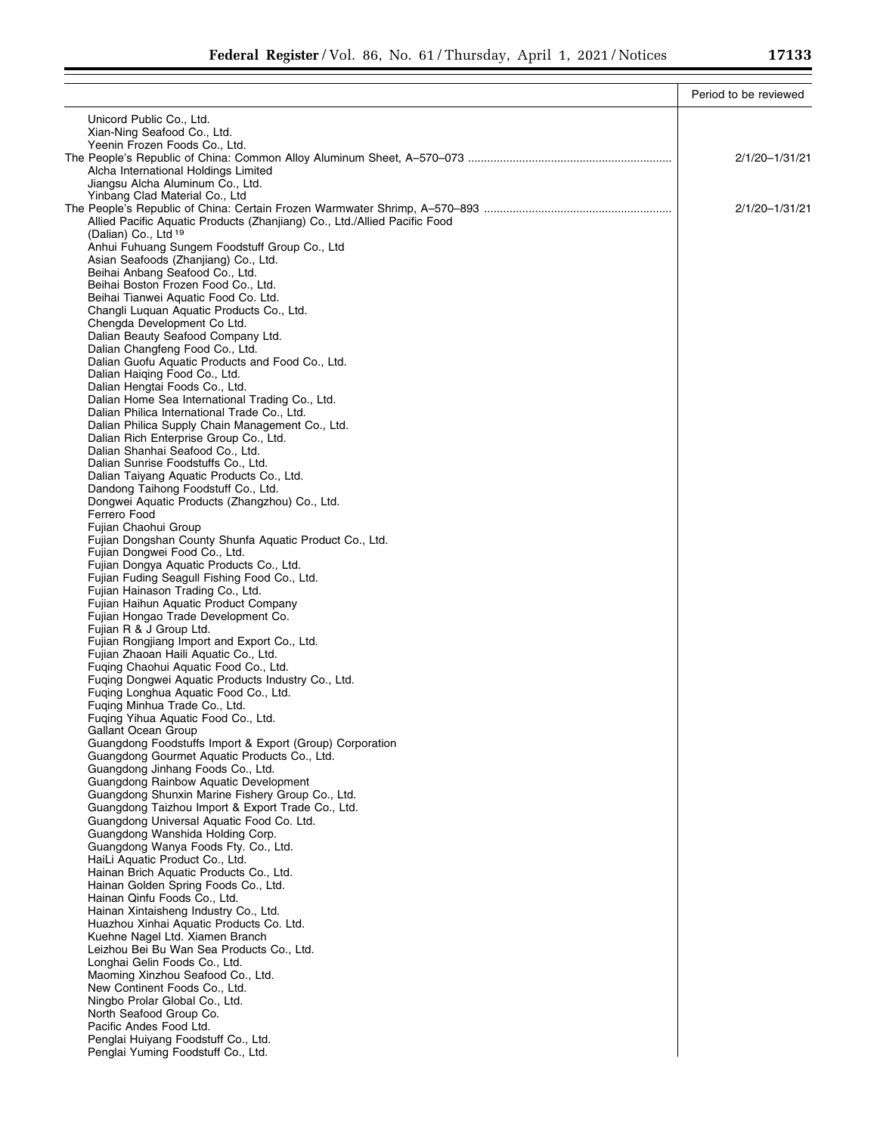÷

|                                                                                          | Period to be reviewed |
|------------------------------------------------------------------------------------------|-----------------------|
| Unicord Public Co., Ltd.                                                                 |                       |
| Xian-Ning Seafood Co., Ltd.                                                              |                       |
| Yeenin Frozen Foods Co., Ltd.                                                            |                       |
|                                                                                          | 2/1/20-1/31/21        |
| Alcha International Holdings Limited                                                     |                       |
| Jiangsu Alcha Aluminum Co., Ltd.<br>Yinbang Clad Material Co., Ltd                       |                       |
|                                                                                          | 2/1/20-1/31/21        |
| Allied Pacific Aquatic Products (Zhanjiang) Co., Ltd./Allied Pacific Food                |                       |
| (Dalian) Co., Ltd 19                                                                     |                       |
| Anhui Fuhuang Sungem Foodstuff Group Co., Ltd                                            |                       |
| Asian Seafoods (Zhanjiang) Co., Ltd.                                                     |                       |
| Beihai Anbang Seafood Co., Ltd.<br>Beihai Boston Frozen Food Co., Ltd.                   |                       |
| Beihai Tianwei Aquatic Food Co. Ltd.                                                     |                       |
| Changli Luquan Aquatic Products Co., Ltd.                                                |                       |
| Chengda Development Co Ltd.                                                              |                       |
| Dalian Beauty Seafood Company Ltd.                                                       |                       |
| Dalian Changfeng Food Co., Ltd.                                                          |                       |
| Dalian Guofu Aquatic Products and Food Co., Ltd.<br>Dalian Haiging Food Co., Ltd.        |                       |
| Dalian Hengtai Foods Co., Ltd.                                                           |                       |
| Dalian Home Sea International Trading Co., Ltd.                                          |                       |
| Dalian Philica International Trade Co., Ltd.                                             |                       |
| Dalian Philica Supply Chain Management Co., Ltd.                                         |                       |
| Dalian Rich Enterprise Group Co., Ltd.                                                   |                       |
| Dalian Shanhai Seafood Co., Ltd.<br>Dalian Sunrise Foodstuffs Co., Ltd.                  |                       |
| Dalian Taiyang Aquatic Products Co., Ltd.                                                |                       |
| Dandong Taihong Foodstuff Co., Ltd.                                                      |                       |
| Dongwei Aquatic Products (Zhangzhou) Co., Ltd.                                           |                       |
| Ferrero Food                                                                             |                       |
| Fujian Chaohui Group                                                                     |                       |
| Fujian Dongshan County Shunfa Aquatic Product Co., Ltd.<br>Fujian Dongwei Food Co., Ltd. |                       |
| Fujian Dongya Aquatic Products Co., Ltd.                                                 |                       |
| Fujian Fuding Seagull Fishing Food Co., Ltd.                                             |                       |
| Fujian Hainason Trading Co., Ltd.                                                        |                       |
| Fujian Haihun Aquatic Product Company                                                    |                       |
| Fujian Hongao Trade Development Co.                                                      |                       |
| Fujian R & J Group Ltd.<br>Fujian Rongjiang Import and Export Co., Ltd.                  |                       |
| Fujian Zhaoan Haili Aquatic Co., Ltd.                                                    |                       |
| Fuging Chaohui Aquatic Food Co., Ltd.                                                    |                       |
| Fuging Dongwei Aquatic Products Industry Co., Ltd.                                       |                       |
| Fuging Longhua Aquatic Food Co., Ltd.                                                    |                       |
| Fuging Minhua Trade Co., Ltd.                                                            |                       |
| Fuging Yihua Aquatic Food Co., Ltd.                                                      |                       |
| Gallant Ocean Group<br>Guangdong Foodstuffs Import & Export (Group) Corporation          |                       |
| Guangdong Gourmet Aquatic Products Co., Ltd.                                             |                       |
| Guangdong Jinhang Foods Co., Ltd.                                                        |                       |
| Guangdong Rainbow Aquatic Development                                                    |                       |
| Guangdong Shunxin Marine Fishery Group Co., Ltd.                                         |                       |
| Guangdong Taizhou Import & Export Trade Co., Ltd.                                        |                       |
| Guangdong Universal Aquatic Food Co. Ltd.<br>Guangdong Wanshida Holding Corp.            |                       |
| Guangdong Wanya Foods Fty. Co., Ltd.                                                     |                       |
| HaiLi Aquatic Product Co., Ltd.                                                          |                       |
| Hainan Brich Aquatic Products Co., Ltd.                                                  |                       |
| Hainan Golden Spring Foods Co., Ltd.                                                     |                       |
| Hainan Qinfu Foods Co., Ltd.                                                             |                       |
| Hainan Xintaisheng Industry Co., Ltd.<br>Huazhou Xinhai Aquatic Products Co. Ltd.        |                       |
| Kuehne Nagel Ltd. Xiamen Branch                                                          |                       |
| Leizhou Bei Bu Wan Sea Products Co., Ltd.                                                |                       |
| Longhai Gelin Foods Co., Ltd.                                                            |                       |
| Maoming Xinzhou Seafood Co., Ltd.                                                        |                       |
| New Continent Foods Co., Ltd.                                                            |                       |
| Ningbo Prolar Global Co., Ltd.                                                           |                       |
| North Seafood Group Co.<br>Pacific Andes Food Ltd.                                       |                       |
| Penglai Huiyang Foodstuff Co., Ltd.                                                      |                       |
| Penglai Yuming Foodstuff Co., Ltd.                                                       |                       |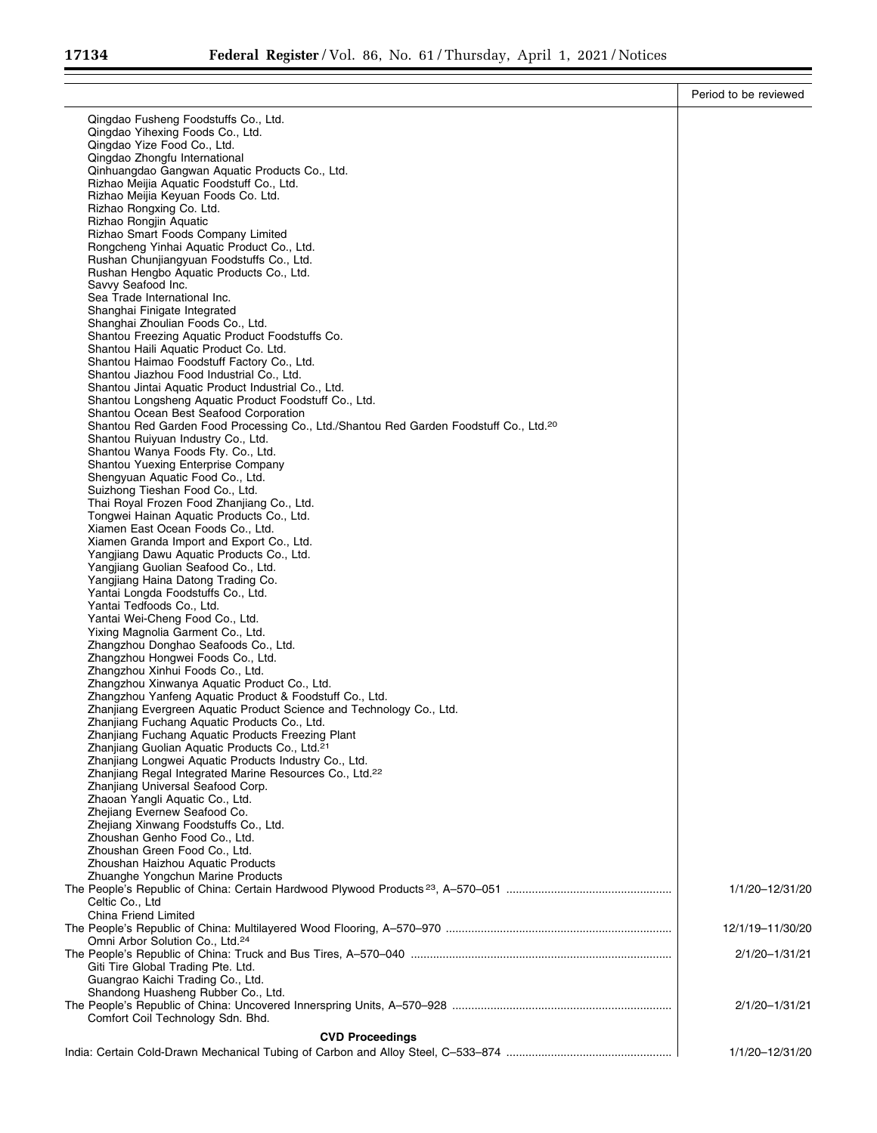|                                                                                                   | Period to be reviewed |
|---------------------------------------------------------------------------------------------------|-----------------------|
| Qingdao Fusheng Foodstuffs Co., Ltd.                                                              |                       |
| Qingdao Yihexing Foods Co., Ltd.                                                                  |                       |
| Qingdao Yize Food Co., Ltd.                                                                       |                       |
| Qingdao Zhongfu International                                                                     |                       |
| Qinhuangdao Gangwan Aquatic Products Co., Ltd.<br>Rizhao Meijia Aquatic Foodstuff Co., Ltd.       |                       |
| Rizhao Meijia Keyuan Foods Co. Ltd.                                                               |                       |
| Rizhao Rongxing Co. Ltd.                                                                          |                       |
| Rizhao Rongjin Aquatic                                                                            |                       |
| Rizhao Smart Foods Company Limited                                                                |                       |
| Rongcheng Yinhai Aquatic Product Co., Ltd.                                                        |                       |
| Rushan Chunjiangyuan Foodstuffs Co., Ltd.                                                         |                       |
| Rushan Hengbo Aquatic Products Co., Ltd.<br>Savvy Seafood Inc.                                    |                       |
| Sea Trade International Inc.                                                                      |                       |
| Shanghai Finigate Integrated                                                                      |                       |
| Shanghai Zhoulian Foods Co., Ltd.                                                                 |                       |
| Shantou Freezing Aquatic Product Foodstuffs Co.                                                   |                       |
| Shantou Haili Aquatic Product Co. Ltd.                                                            |                       |
| Shantou Haimao Foodstuff Factory Co., Ltd.<br>Shantou Jiazhou Food Industrial Co., Ltd.           |                       |
| Shantou Jintai Aquatic Product Industrial Co., Ltd.                                               |                       |
| Shantou Longsheng Aquatic Product Foodstuff Co., Ltd.                                             |                       |
| Shantou Ocean Best Seafood Corporation                                                            |                       |
| Shantou Red Garden Food Processing Co., Ltd./Shantou Red Garden Foodstuff Co., Ltd. <sup>20</sup> |                       |
| Shantou Ruiyuan Industry Co., Ltd.                                                                |                       |
| Shantou Wanya Foods Fty. Co., Ltd.<br>Shantou Yuexing Enterprise Company                          |                       |
| Shengyuan Aquatic Food Co., Ltd.                                                                  |                       |
| Suizhong Tieshan Food Co., Ltd.                                                                   |                       |
| Thai Royal Frozen Food Zhanjiang Co., Ltd.                                                        |                       |
| Tongwei Hainan Aquatic Products Co., Ltd.                                                         |                       |
| Xiamen East Ocean Foods Co., Ltd.                                                                 |                       |
| Xiamen Granda Import and Export Co., Ltd.<br>Yangjiang Dawu Aquatic Products Co., Ltd.            |                       |
| Yangjiang Guolian Seafood Co., Ltd.                                                               |                       |
| Yangjiang Haina Datong Trading Co.                                                                |                       |
| Yantai Longda Foodstuffs Co., Ltd.                                                                |                       |
| Yantai Tedfoods Co., Ltd.                                                                         |                       |
| Yantai Wei-Cheng Food Co., Ltd.                                                                   |                       |
| Yixing Magnolia Garment Co., Ltd.<br>Zhangzhou Donghao Seafoods Co., Ltd.                         |                       |
| Zhangzhou Hongwei Foods Co., Ltd.                                                                 |                       |
| Zhangzhou Xinhui Foods Co., Ltd.                                                                  |                       |
| Zhangzhou Xinwanya Aguatic Product Co., Ltd.                                                      |                       |
| Zhangzhou Yanfeng Aquatic Product & Foodstuff Co., Ltd.                                           |                       |
| Zhanjiang Evergreen Aquatic Product Science and Technology Co., Ltd.                              |                       |
| Zhanjiang Fuchang Aquatic Products Co., Ltd.<br>Zhanjiang Fuchang Aquatic Products Freezing Plant |                       |
| Zhanjiang Guolian Aquatic Products Co., Ltd. <sup>21</sup>                                        |                       |
| Zhanjiang Longwei Aquatic Products Industry Co., Ltd.                                             |                       |
| Zhanjiang Regal Integrated Marine Resources Co., Ltd. <sup>22</sup>                               |                       |
| Zhanjiang Universal Seafood Corp.                                                                 |                       |
| Zhaoan Yangli Aquatic Co., Ltd.                                                                   |                       |
| Zhejiang Evernew Seafood Co.<br>Zhejiang Xinwang Foodstuffs Co., Ltd.                             |                       |
| Zhoushan Genho Food Co., Ltd.                                                                     |                       |
| Zhoushan Green Food Co., Ltd.                                                                     |                       |
| Zhoushan Haizhou Aquatic Products                                                                 |                       |
| Zhuanghe Yongchun Marine Products                                                                 |                       |
|                                                                                                   | 1/1/20-12/31/20       |
| Celtic Co., Ltd<br>China Friend Limited                                                           |                       |
|                                                                                                   | 12/1/19-11/30/20      |
| Omni Arbor Solution Co., Ltd. <sup>24</sup>                                                       |                       |
|                                                                                                   | 2/1/20-1/31/21        |
| Giti Tire Global Trading Pte. Ltd.                                                                |                       |
| Guangrao Kaichi Trading Co., Ltd.                                                                 |                       |
| Shandong Huasheng Rubber Co., Ltd.                                                                | 2/1/20-1/31/21        |
| Comfort Coil Technology Sdn. Bhd.                                                                 |                       |
| <b>CVD Proceedings</b>                                                                            |                       |
|                                                                                                   | 1/1/20-12/31/20       |
|                                                                                                   |                       |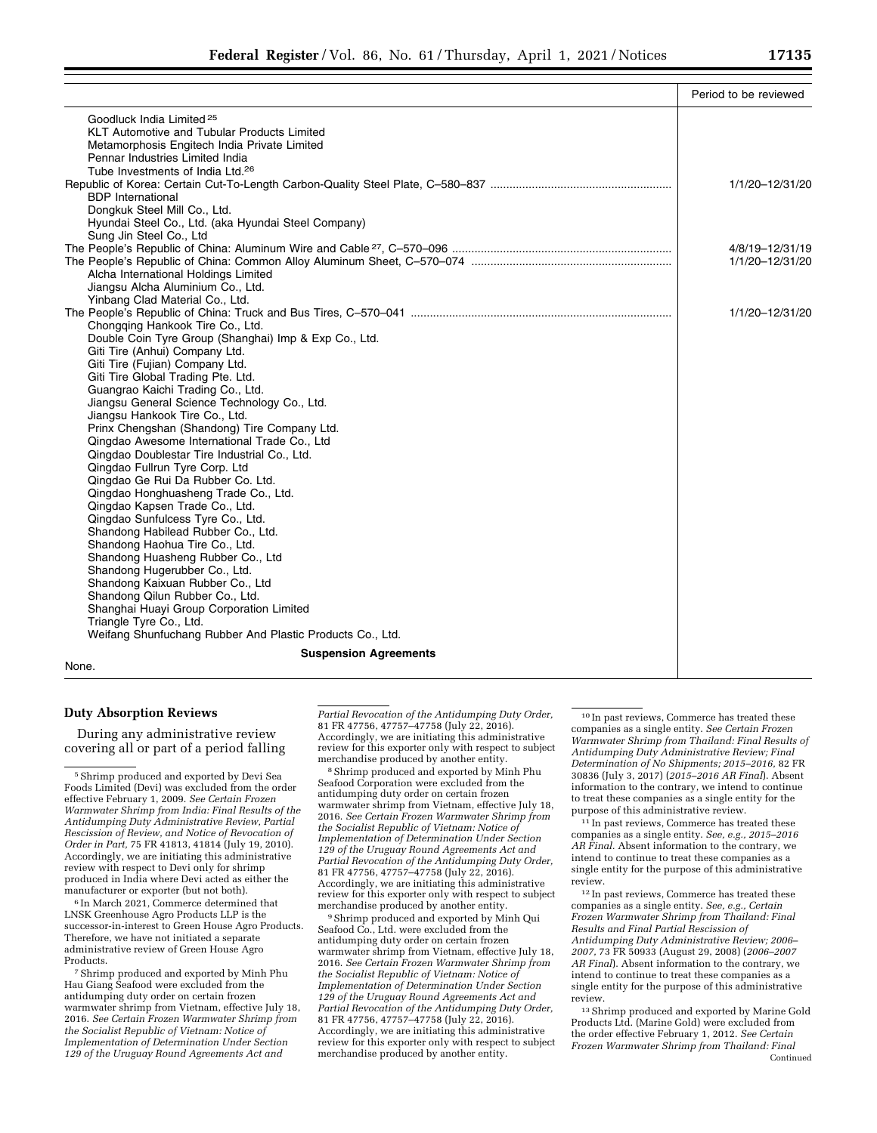|                                                                                      | Period to be reviewed |
|--------------------------------------------------------------------------------------|-----------------------|
| Goodluck India Limited <sup>25</sup>                                                 |                       |
| <b>KLT Automotive and Tubular Products Limited</b>                                   |                       |
| Metamorphosis Engitech India Private Limited                                         |                       |
| Pennar Industries Limited India                                                      |                       |
| Tube Investments of India Ltd. <sup>26</sup>                                         |                       |
|                                                                                      | 1/1/20-12/31/20       |
| <b>BDP</b> International                                                             |                       |
| Dongkuk Steel Mill Co., Ltd.                                                         |                       |
| Hyundai Steel Co., Ltd. (aka Hyundai Steel Company)                                  |                       |
| Sung Jin Steel Co., Ltd                                                              |                       |
|                                                                                      | 4/8/19-12/31/19       |
|                                                                                      | 1/1/20-12/31/20       |
| Alcha International Holdings Limited                                                 |                       |
| Jiangsu Alcha Aluminium Co., Ltd.                                                    |                       |
| Yinbang Clad Material Co., Ltd.                                                      |                       |
|                                                                                      | 1/1/20-12/31/20       |
| Chongqing Hankook Tire Co., Ltd.                                                     |                       |
| Double Coin Tyre Group (Shanghai) Imp & Exp Co., Ltd.                                |                       |
| Giti Tire (Anhui) Company Ltd.                                                       |                       |
| Giti Tire (Fujian) Company Ltd.                                                      |                       |
| Giti Tire Global Trading Pte. Ltd.                                                   |                       |
| Guangrao Kaichi Trading Co., Ltd.                                                    |                       |
| Jiangsu General Science Technology Co., Ltd.                                         |                       |
| Jiangsu Hankook Tire Co., Ltd.                                                       |                       |
| Prinx Chengshan (Shandong) Tire Company Ltd.                                         |                       |
| Qingdao Awesome International Trade Co., Ltd                                         |                       |
| Qingdao Doublestar Tire Industrial Co., Ltd.                                         |                       |
| Qingdao Fullrun Tyre Corp. Ltd                                                       |                       |
| Qingdao Ge Rui Da Rubber Co. Ltd.                                                    |                       |
| Qingdao Honghuasheng Trade Co., Ltd.                                                 |                       |
| Qingdao Kapsen Trade Co., Ltd.                                                       |                       |
| Qingdao Sunfulcess Tyre Co., Ltd.                                                    |                       |
| Shandong Habilead Rubber Co., Ltd.                                                   |                       |
| Shandong Haohua Tire Co., Ltd.                                                       |                       |
| Shandong Huasheng Rubber Co., Ltd                                                    |                       |
| Shandong Hugerubber Co., Ltd.                                                        |                       |
| Shandong Kaixuan Rubber Co., Ltd                                                     |                       |
| Shandong Qilun Rubber Co., Ltd.                                                      |                       |
| Shanghai Huayi Group Corporation Limited                                             |                       |
| Triangle Tyre Co., Ltd.<br>Weifang Shunfuchang Rubber And Plastic Products Co., Ltd. |                       |
|                                                                                      |                       |
| <b>Suspension Agreements</b>                                                         |                       |
| None.                                                                                |                       |

# **Duty Absorption Reviews**

During any administrative review covering all or part of a period falling

6 In March 2021, Commerce determined that LNSK Greenhouse Agro Products LLP is the successor-in-interest to Green House Agro Products. Therefore, we have not initiated a separate administrative review of Green House Agro Products.

7Shrimp produced and exported by Minh Phu Hau Giang Seafood were excluded from the antidumping duty order on certain frozen warmwater shrimp from Vietnam, effective July 18, 2016. *See Certain Frozen Warmwater Shrimp from the Socialist Republic of Vietnam: Notice of Implementation of Determination Under Section 129 of the Uruguay Round Agreements Act and* 

*Partial Revocation of the Antidumping Duty Order,*  81 FR 47756, 47757–47758 (July 22, 2016). Accordingly, we are initiating this administrative review for this exporter only with respect to subject<br>merchandise produced by another entity.

 $^{\rm 8}$  Shrimp produced and exported by Minh Phu Seafood Corporation were excluded from the antidumping duty order on certain frozen warmwater shrimp from Vietnam, effective July 18, 2016. *See Certain Frozen Warmwater Shrimp from the Socialist Republic of Vietnam: Notice of Implementation of Determination Under Section 129 of the Uruguay Round Agreements Act and Partial Revocation of the Antidumping Duty Order,*  81 FR 47756, 47757–47758 (July 22, 2016). Accordingly, we are initiating this administrative review for this exporter only with respect to subject merchandise produced by another entity.

9Shrimp produced and exported by Minh Qui Seafood Co., Ltd. were excluded from the antidumping duty order on certain frozen warmwater shrimp from Vietnam, effective July 18, 2016. *See Certain Frozen Warmwater Shrimp from the Socialist Republic of Vietnam: Notice of Implementation of Determination Under Section 129 of the Uruguay Round Agreements Act and Partial Revocation of the Antidumping Duty Order,*  81 FR 47756, 47757–47758 (July 22, 2016). Accordingly, we are initiating this administrative review for this exporter only with respect to subject merchandise produced by another entity.

10 In past reviews, Commerce has treated these companies as a single entity. *See Certain Frozen Warmwater Shrimp from Thailand: Final Results of Antidumping Duty Administrative Review; Final Determination of No Shipments; 2015–2016,* 82 FR 30836 (July 3, 2017) (*2015–2016 AR Final*). Absent information to the contrary, we intend to continue to treat these companies as a single entity for the purpose of this administrative review.

11 In past reviews, Commerce has treated these companies as a single entity. *See, e.g., 2015–2016 AR Final.* Absent information to the contrary, we intend to continue to treat these companies as a single entity for the purpose of this administrative review.

12 In past reviews, Commerce has treated these companies as a single entity. *See, e.g., Certain Frozen Warmwater Shrimp from Thailand: Final Results and Final Partial Rescission of Antidumping Duty Administrative Review; 2006– 2007,* 73 FR 50933 (August 29, 2008) (*2006–2007 AR Final*). Absent information to the contrary, we intend to continue to treat these companies as a single entity for the purpose of this administrative review.

13Shrimp produced and exported by Marine Gold Products Ltd. (Marine Gold) were excluded from the order effective February 1, 2012. *See Certain Frozen Warmwater Shrimp from Thailand: Final*  Continued

 $^{\rm 5}$  Shrimp produced and exported by Devi Sea Foods Limited (Devi) was excluded from the order effective February 1, 2009. *See Certain Frozen Warmwater Shrimp from India: Final Results of the Antidumping Duty Administrative Review, Partial Rescission of Review, and Notice of Revocation of Order in Part,* 75 FR 41813, 41814 (July 19, 2010). Accordingly, we are initiating this administrative review with respect to Devi only for shrimp produced in India where Devi acted as either the manufacturer or exporter (but not both).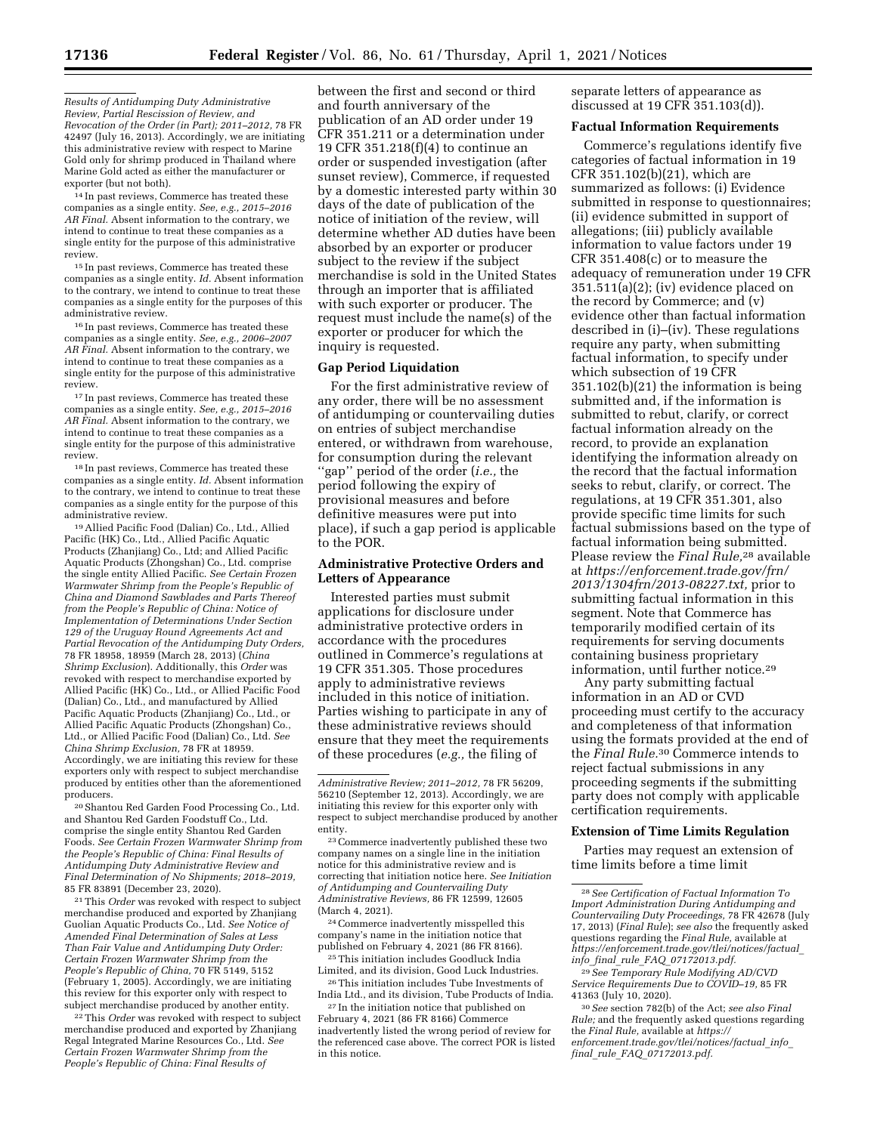*Results of Antidumping Duty Administrative Review, Partial Rescission of Review, and Revocation of the Order (in Part); 2011–2012,* 78 FR 42497 (July 16, 2013). Accordingly, we are initiating this administrative review with respect to Marine Gold only for shrimp produced in Thailand where Marine Gold acted as either the manufacturer or exporter (but not both).

14 In past reviews, Commerce has treated these companies as a single entity. *See, e.g., 2015–2016 AR Final.* Absent information to the contrary, we intend to continue to treat these companies as a single entity for the purpose of this administrative review.

15 In past reviews, Commerce has treated these companies as a single entity. *Id.* Absent information to the contrary, we intend to continue to treat these companies as a single entity for the purposes of this administrative review.

16 In past reviews, Commerce has treated these companies as a single entity. *See, e.g., 2006–2007 AR Final.* Absent information to the contrary, we intend to continue to treat these companies as a single entity for the purpose of this administrative review.

 $^{17}\!$  In past reviews, Commerce has treated these companies as a single entity. *See, e.g., 2015–2016 AR Final.* Absent information to the contrary, we intend to continue to treat these companies as a single entity for the purpose of this administrative review.

18 In past reviews, Commerce has treated these companies as a single entity. *Id.* Absent information to the contrary, we intend to continue to treat these companies as a single entity for the purpose of this administrative review.

19Allied Pacific Food (Dalian) Co., Ltd., Allied Pacific (HK) Co., Ltd., Allied Pacific Aquatic Products (Zhanjiang) Co., Ltd; and Allied Pacific Aquatic Products (Zhongshan) Co., Ltd. comprise the single entity Allied Pacific. *See Certain Frozen Warmwater Shrimp from the People's Republic of China and Diamond Sawblades and Parts Thereof from the People's Republic of China: Notice of Implementation of Determinations Under Section 129 of the Uruguay Round Agreements Act and Partial Revocation of the Antidumping Duty Orders,*  78 FR 18958, 18959 (March 28, 2013) (*China Shrimp Exclusion*). Additionally, this *Order* was revoked with respect to merchandise exported by Allied Pacific (HK) Co., Ltd., or Allied Pacific Food (Dalian) Co., Ltd., and manufactured by Allied Pacific Aquatic Products (Zhanjiang) Co., Ltd., or Allied Pacific Aquatic Products (Zhongshan) Co., Ltd., or Allied Pacific Food (Dalian) Co., Ltd. *See China Shrimp Exclusion,* 78 FR at 18959. Accordingly, we are initiating this review for these exporters only with respect to subject merchandise produced by entities other than the aforementioned producers.

20Shantou Red Garden Food Processing Co., Ltd. and Shantou Red Garden Foodstuff Co., Ltd. comprise the single entity Shantou Red Garden Foods. *See Certain Frozen Warmwater Shrimp from the People's Republic of China: Final Results of Antidumping Duty Administrative Review and Final Determination of No Shipments; 2018–2019,*  85 FR 83891 (December 23, 2020).

21This *Order* was revoked with respect to subject merchandise produced and exported by Zhanjiang Guolian Aquatic Products Co., Ltd. *See Notice of Amended Final Determination of Sales at Less Than Fair Value and Antidumping Duty Order: Certain Frozen Warmwater Shrimp from the People's Republic of China,* 70 FR 5149, 5152 (February 1, 2005). Accordingly, we are initiating this review for this exporter only with respect to subject merchandise produced by another entity.

22This *Order* was revoked with respect to subject merchandise produced and exported by Zhanjiang Regal Integrated Marine Resources Co., Ltd. *See Certain Frozen Warmwater Shrimp from the People's Republic of China: Final Results of* 

between the first and second or third and fourth anniversary of the publication of an AD order under 19 CFR 351.211 or a determination under 19 CFR 351.218(f)(4) to continue an order or suspended investigation (after sunset review), Commerce, if requested by a domestic interested party within 30 days of the date of publication of the notice of initiation of the review, will determine whether AD duties have been absorbed by an exporter or producer subject to the review if the subject merchandise is sold in the United States through an importer that is affiliated with such exporter or producer. The request must include the name(s) of the exporter or producer for which the inquiry is requested.

### **Gap Period Liquidation**

For the first administrative review of any order, there will be no assessment of antidumping or countervailing duties on entries of subject merchandise entered, or withdrawn from warehouse, for consumption during the relevant ''gap'' period of the order (*i.e.,* the period following the expiry of provisional measures and before definitive measures were put into place), if such a gap period is applicable to the POR.

# **Administrative Protective Orders and Letters of Appearance**

Interested parties must submit applications for disclosure under administrative protective orders in accordance with the procedures outlined in Commerce's regulations at 19 CFR 351.305. Those procedures apply to administrative reviews included in this notice of initiation. Parties wishing to participate in any of these administrative reviews should ensure that they meet the requirements of these procedures (*e.g.,* the filing of

23Commerce inadvertently published these two company names on a single line in the initiation notice for this administrative review and is correcting that initiation notice here. *See Initiation of Antidumping and Countervailing Duty Administrative Reviews,* 86 FR 12599, 12605 (March 4, 2021).

24Commerce inadvertently misspelled this company's name in the initiation notice that published on February 4, 2021 (86 FR 8166). 25This initiation includes Goodluck India

Limited, and its division, Good Luck Industries. 26This initiation includes Tube Investments of

India Ltd., and its division, Tube Products of India. 27 In the initiation notice that published on

February 4, 2021 (86 FR 8166) Commerce inadvertently listed the wrong period of review for the referenced case above. The correct POR is listed in this notice.

separate letters of appearance as discussed at 19 CFR 351.103(d)).

#### **Factual Information Requirements**

Commerce's regulations identify five categories of factual information in 19 CFR 351.102(b)(21), which are summarized as follows: (i) Evidence submitted in response to questionnaires; (ii) evidence submitted in support of allegations; (iii) publicly available information to value factors under 19 CFR 351.408(c) or to measure the adequacy of remuneration under 19 CFR 351.511(a)(2); (iv) evidence placed on the record by Commerce; and (v) evidence other than factual information described in (i)–(iv). These regulations require any party, when submitting factual information, to specify under which subsection of 19 CFR 351.102(b)(21) the information is being submitted and, if the information is submitted to rebut, clarify, or correct factual information already on the record, to provide an explanation identifying the information already on the record that the factual information seeks to rebut, clarify, or correct. The regulations, at 19 CFR 351.301, also provide specific time limits for such factual submissions based on the type of factual information being submitted. Please review the *Final Rule,*28 available at *[https://enforcement.trade.gov/frn/](https://enforcement.trade.gov/frn/2013/1304frn/2013-08227.txt)  [2013/1304frn/2013-08227.txt,](https://enforcement.trade.gov/frn/2013/1304frn/2013-08227.txt)* prior to submitting factual information in this segment. Note that Commerce has temporarily modified certain of its requirements for serving documents containing business proprietary information, until further notice.29

Any party submitting factual information in an AD or CVD proceeding must certify to the accuracy and completeness of that information using the formats provided at the end of the *Final Rule.*30 Commerce intends to reject factual submissions in any proceeding segments if the submitting party does not comply with applicable certification requirements.

### **Extension of Time Limits Regulation**

Parties may request an extension of time limits before a time limit

29*See Temporary Rule Modifying AD/CVD Service Requirements Due to COVID–19,* 85 FR 41363 (July 10, 2020).

30*See* section 782(b) of the Act; *see also Final Rule;* and the frequently asked questions regarding the *Final Rule,* available at *[https://](https://enforcement.trade.gov/tlei/notices/factual_info_final_rule_FAQ_07172013.pdf) [enforcement.trade.gov/tlei/notices/factual](https://enforcement.trade.gov/tlei/notices/factual_info_final_rule_FAQ_07172013.pdf)*\_*info*\_ *final*\_*rule*\_*FAQ*\_*[07172013.pdf.](https://enforcement.trade.gov/tlei/notices/factual_info_final_rule_FAQ_07172013.pdf)* 

*Administrative Review; 2011–2012,* 78 FR 56209, 56210 (September 12, 2013). Accordingly, we are initiating this review for this exporter only with respect to subject merchandise produced by another entity.

<sup>28</sup>*See Certification of Factual Information To Import Administration During Antidumping and Countervailing Duty Proceedings,* 78 FR 42678 (July 17, 2013) (*Final Rule*); *see also* the frequently asked questions regarding the *Final Rule,* available at *[https://enforcement.trade.gov/tlei/notices/factual](https://enforcement.trade.gov/tlei/notices/factual_info_final_rule_FAQ_07172013.pdf)*\_ *info*\_*final*\_*rule*\_*FAQ*\_*[07172013.pdf.](https://enforcement.trade.gov/tlei/notices/factual_info_final_rule_FAQ_07172013.pdf)*